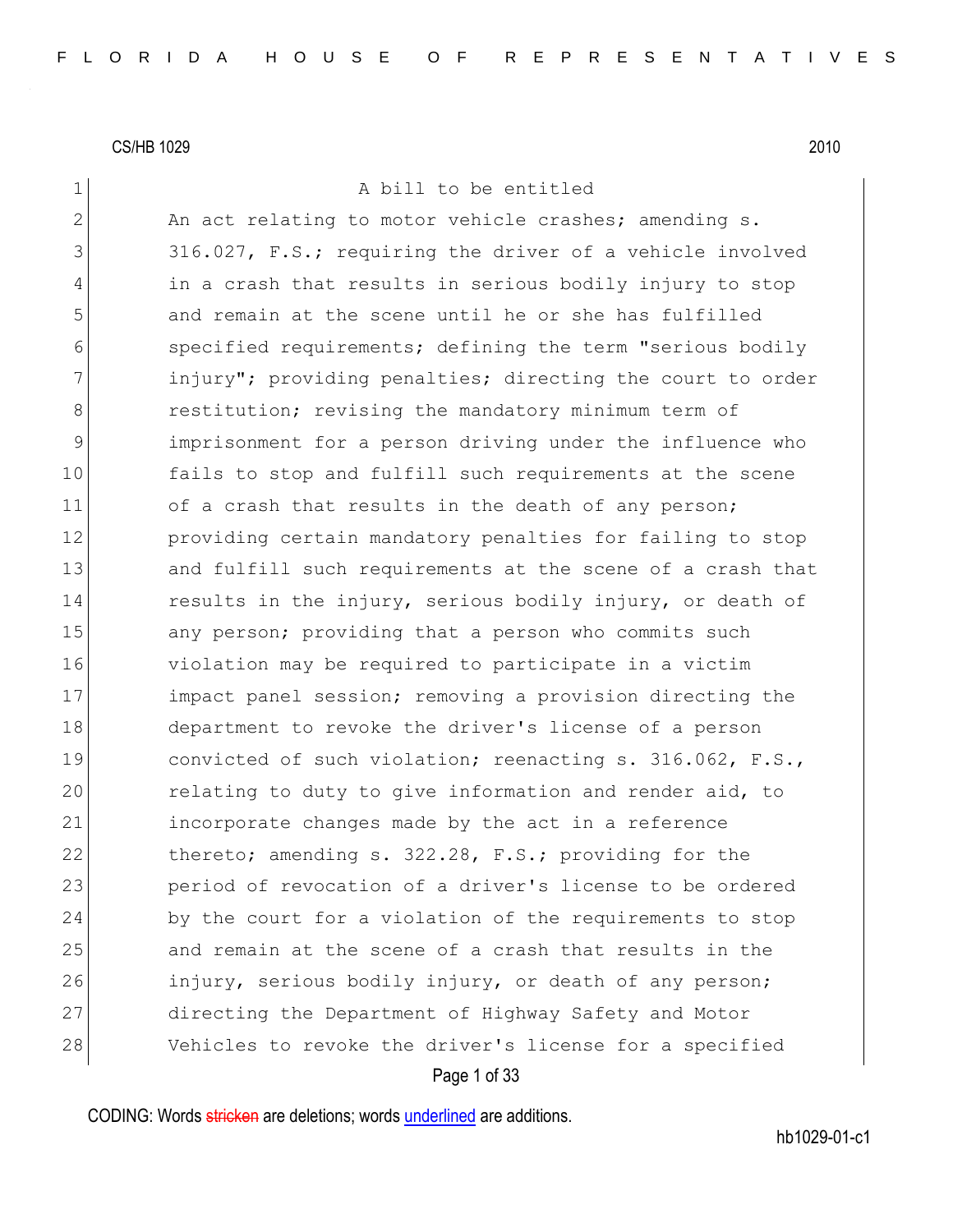1 a bill to be entitled

2 An act relating to motor vehicle crashes; amending s. 3 316.027, F.S.; requiring the driver of a vehicle involved 4 in a crash that results in serious bodily injury to stop 5 and remain at the scene until he or she has fulfilled 6 specified requirements; defining the term "serious bodily 7 1 injury"; providing penalties; directing the court to order 8 **8** restitution; revising the mandatory minimum term of 9 11 9 imprisonment for a person driving under the influence who 10 fails to stop and fulfill such requirements at the scene 11 of a crash that results in the death of any person; 12 providing certain mandatory penalties for failing to stop 13 and fulfill such requirements at the scene of a crash that 14 results in the injury, serious bodily injury, or death of 15 any person; providing that a person who commits such 16 violation may be required to participate in a victim 17 impact panel session; removing a provision directing the 18 department to revoke the driver's license of a person 19 convicted of such violation; reenacting s. 316.062, F.S., 20 relating to duty to give information and render aid, to 21 incorporate changes made by the act in a reference 22 thereto; amending s. 322.28, F.S.; providing for the 23 period of revocation of a driver's license to be ordered 24 by the court for a violation of the requirements to stop 25 and remain at the scene of a crash that results in the 26 injury, serious bodily injury, or death of any person; 27 directing the Department of Highway Safety and Motor 28 Vehicles to revoke the driver's license for a specified

Page 1 of 33

CODING: Words stricken are deletions; words underlined are additions.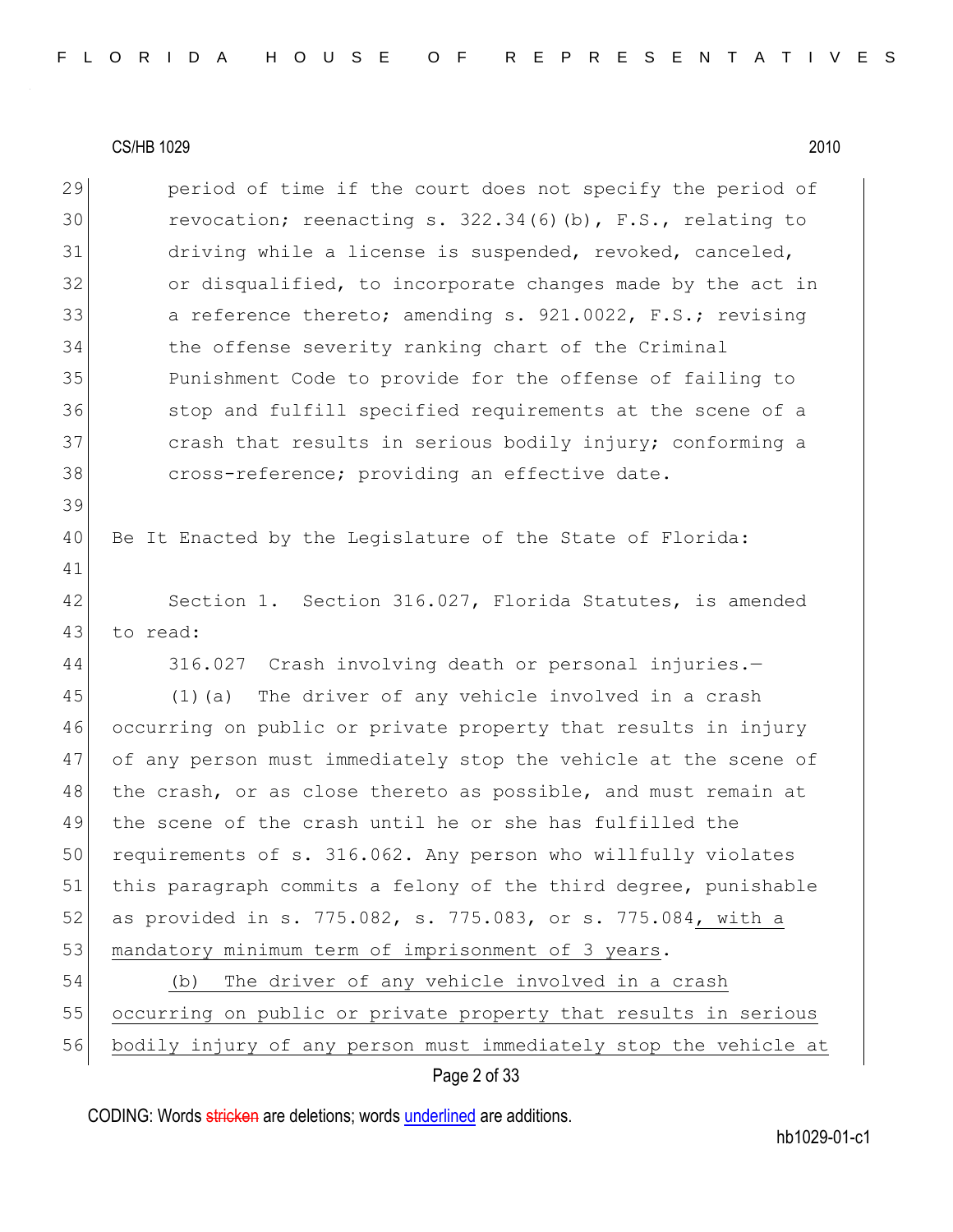| 29 | period of time if the court does not specify the period of       |
|----|------------------------------------------------------------------|
| 30 | revocation; reenacting s. $322.34(6)(b)$ , F.S., relating to     |
| 31 | driving while a license is suspended, revoked, canceled,         |
| 32 | or disqualified, to incorporate changes made by the act in       |
| 33 | a reference thereto; amending s. 921.0022, F.S.; revising        |
| 34 | the offense severity ranking chart of the Criminal               |
| 35 | Punishment Code to provide for the offense of failing to         |
| 36 | stop and fulfill specified requirements at the scene of a        |
| 37 | crash that results in serious bodily injury; conforming a        |
| 38 | cross-reference; providing an effective date.                    |
| 39 |                                                                  |
| 40 | Be It Enacted by the Legislature of the State of Florida:        |
| 41 |                                                                  |
| 42 | Section 1. Section 316.027, Florida Statutes, is amended         |
| 43 | to read:                                                         |
| 44 | 316.027 Crash involving death or personal injuries.-             |
| 45 | The driver of any vehicle involved in a crash<br>$(1)$ (a)       |
| 46 | occurring on public or private property that results in injury   |
| 47 | of any person must immediately stop the vehicle at the scene of  |
| 48 | the crash, or as close thereto as possible, and must remain at   |
| 49 | the scene of the crash until he or she has fulfilled the         |
| 50 | requirements of s. 316.062. Any person who willfully violates    |
| 51 | this paragraph commits a felony of the third degree, punishable  |
| 52 | as provided in s. 775.082, s. 775.083, or s. 775.084, with a     |
| 53 | mandatory minimum term of imprisonment of 3 years.               |
| 54 | The driver of any vehicle involved in a crash<br>(b)             |
| 55 | occurring on public or private property that results in serious  |
| 56 | bodily injury of any person must immediately stop the vehicle at |
|    | Page 2 of 33                                                     |

CODING: Words *stricken* are deletions; words **underlined** are additions.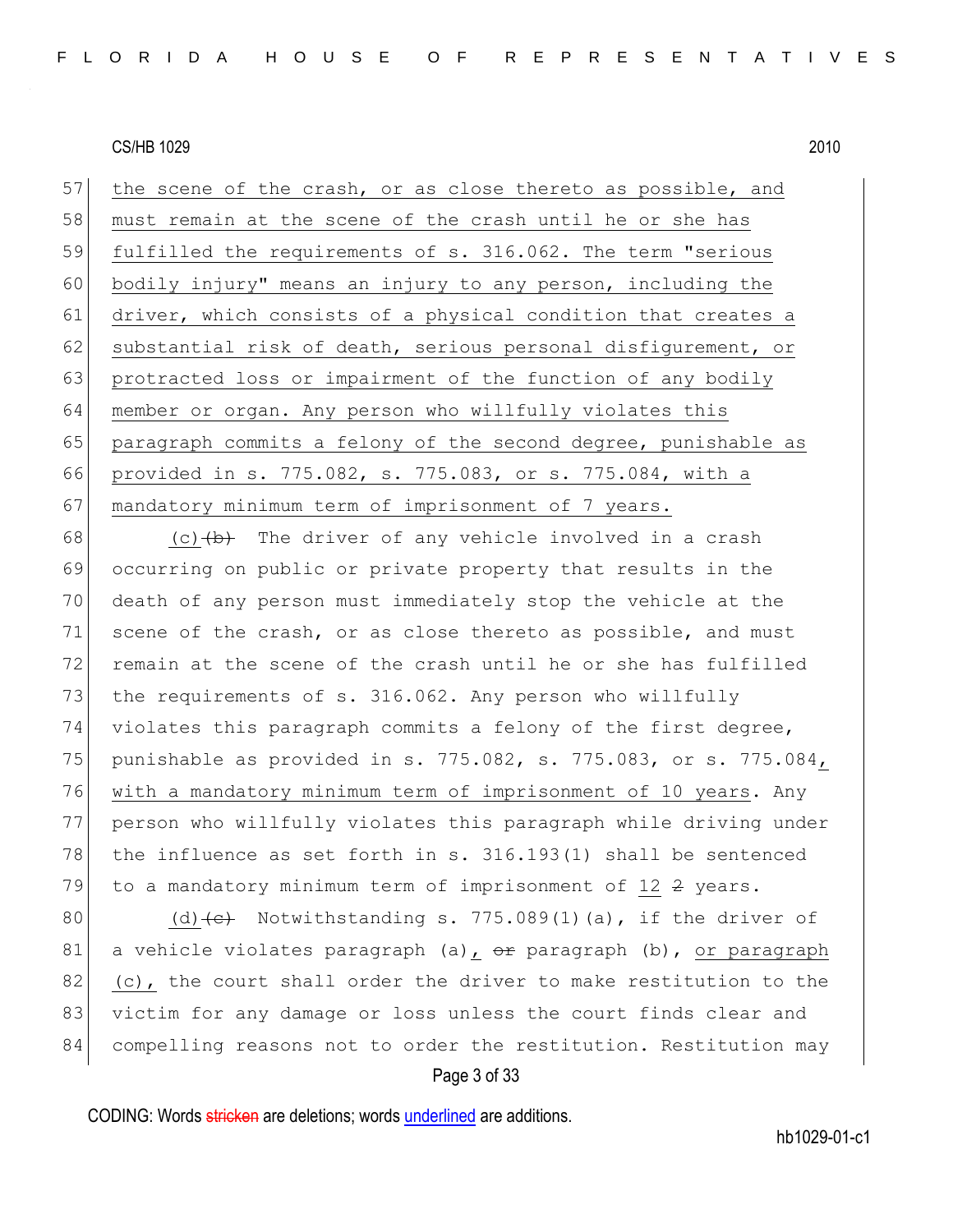57 the scene of the crash, or as close thereto as possible, and 58 must remain at the scene of the crash until he or she has 59 fulfilled the requirements of s. 316.062. The term "serious 60 bodily injury" means an injury to any person, including the 61 driver, which consists of a physical condition that creates a 62 substantial risk of death, serious personal disfigurement, or 63 protracted loss or impairment of the function of any bodily 64 member or organ. Any person who willfully violates this 65 paragraph commits a felony of the second degree, punishable as 66 provided in s. 775.082, s. 775.083, or s. 775.084, with a 67 mandatory minimum term of imprisonment of 7 years.

68 (c)  $\left(\frac{b}{b}\right)$  The driver of any vehicle involved in a crash 69 occurring on public or private property that results in the 70 death of any person must immediately stop the vehicle at the 71 scene of the crash, or as close thereto as possible, and must 72 remain at the scene of the crash until he or she has fulfilled 73 the requirements of s. 316.062. Any person who willfully 74 violates this paragraph commits a felony of the first degree, 75 punishable as provided in s. 775.082, s. 775.083, or s. 775.084, 76 with a mandatory minimum term of imprisonment of 10 years. Any 77 person who willfully violates this paragraph while driving under 78 the influence as set forth in s. 316.193(1) shall be sentenced 79 to a mandatory minimum term of imprisonment of  $12$   $2$  years.

80 (d)  $\left(\text{e}\right)$  Notwithstanding s. 775.089(1)(a), if the driver of 81 a vehicle violates paragraph (a),  $\theta$ r paragraph (b), or paragraph 82 (c), the court shall order the driver to make restitution to the 83 victim for any damage or loss unless the court finds clear and 84 compelling reasons not to order the restitution. Restitution may

#### Page 3 of 33

CODING: Words stricken are deletions; words underlined are additions.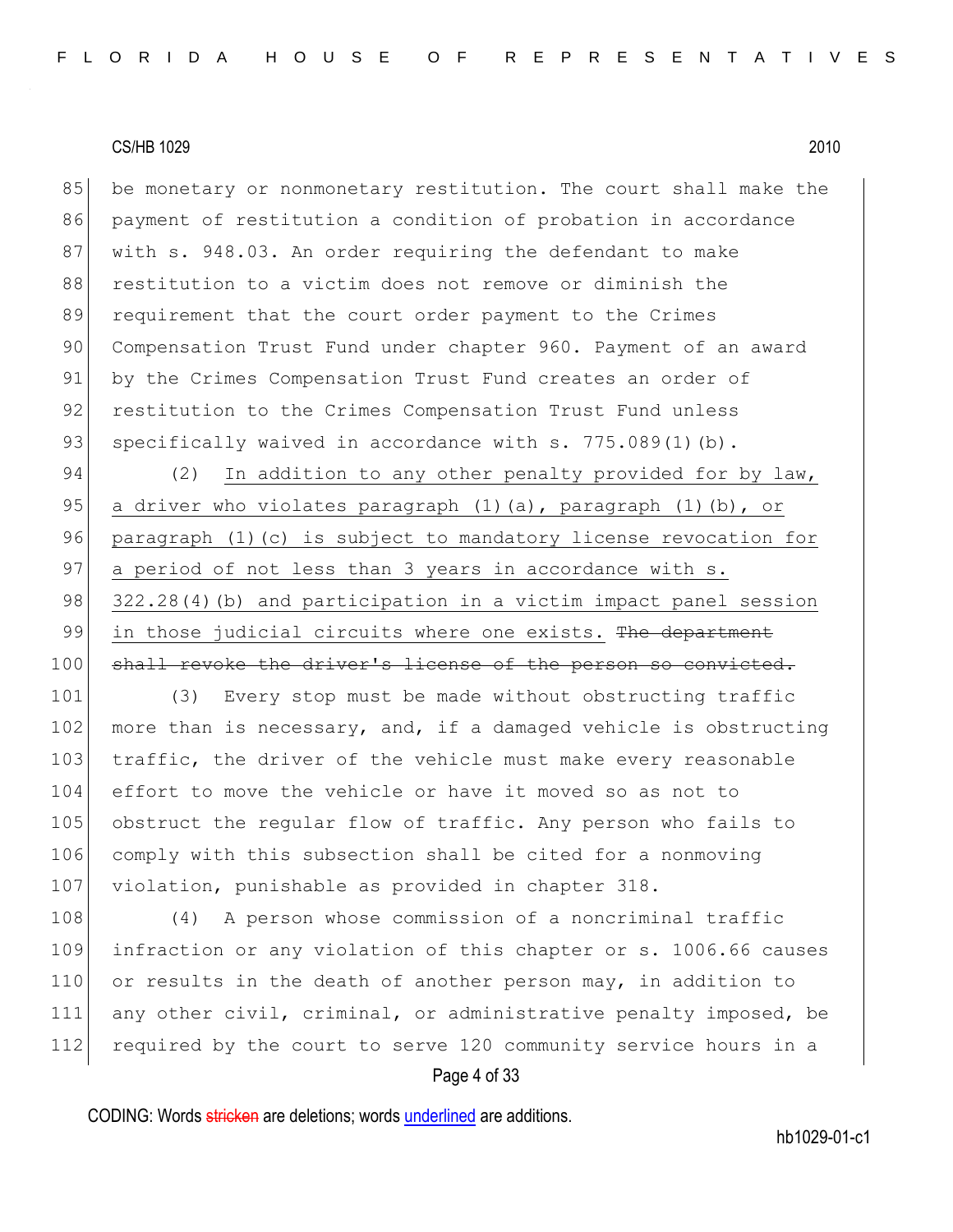85 be monetary or nonmonetary restitution. The court shall make the 86 payment of restitution a condition of probation in accordance 87 with s. 948.03. An order requiring the defendant to make 88 restitution to a victim does not remove or diminish the 89 requirement that the court order payment to the Crimes 90 Compensation Trust Fund under chapter 960. Payment of an award 91 by the Crimes Compensation Trust Fund creates an order of 92 restitution to the Crimes Compensation Trust Fund unless 93 specifically waived in accordance with s. 775.089(1)(b).

94 (2) In addition to any other penalty provided for by law, 95 a driver who violates paragraph  $(1)$  (a), paragraph  $(1)$  (b), or 96 paragraph (1)(c) is subject to mandatory license revocation for 97 a period of not less than 3 years in accordance with s. 98 322.28(4)(b) and participation in a victim impact panel session 99 in those judicial circuits where one exists. The department 100 shall revoke the driver's license of the person so convicted.

101 (3) Every stop must be made without obstructing traffic 102 more than is necessary, and, if a damaged vehicle is obstructing 103 traffic, the driver of the vehicle must make every reasonable 104 effort to move the vehicle or have it moved so as not to 105 obstruct the regular flow of traffic. Any person who fails to 106 comply with this subsection shall be cited for a nonmoving 107 violation, punishable as provided in chapter 318.

108 (4) A person whose commission of a noncriminal traffic 109 infraction or any violation of this chapter or s. 1006.66 causes 110 or results in the death of another person may, in addition to 111 any other civil, criminal, or administrative penalty imposed, be 112 required by the court to serve 120 community service hours in a

#### Page 4 of 33

CODING: Words stricken are deletions; words underlined are additions.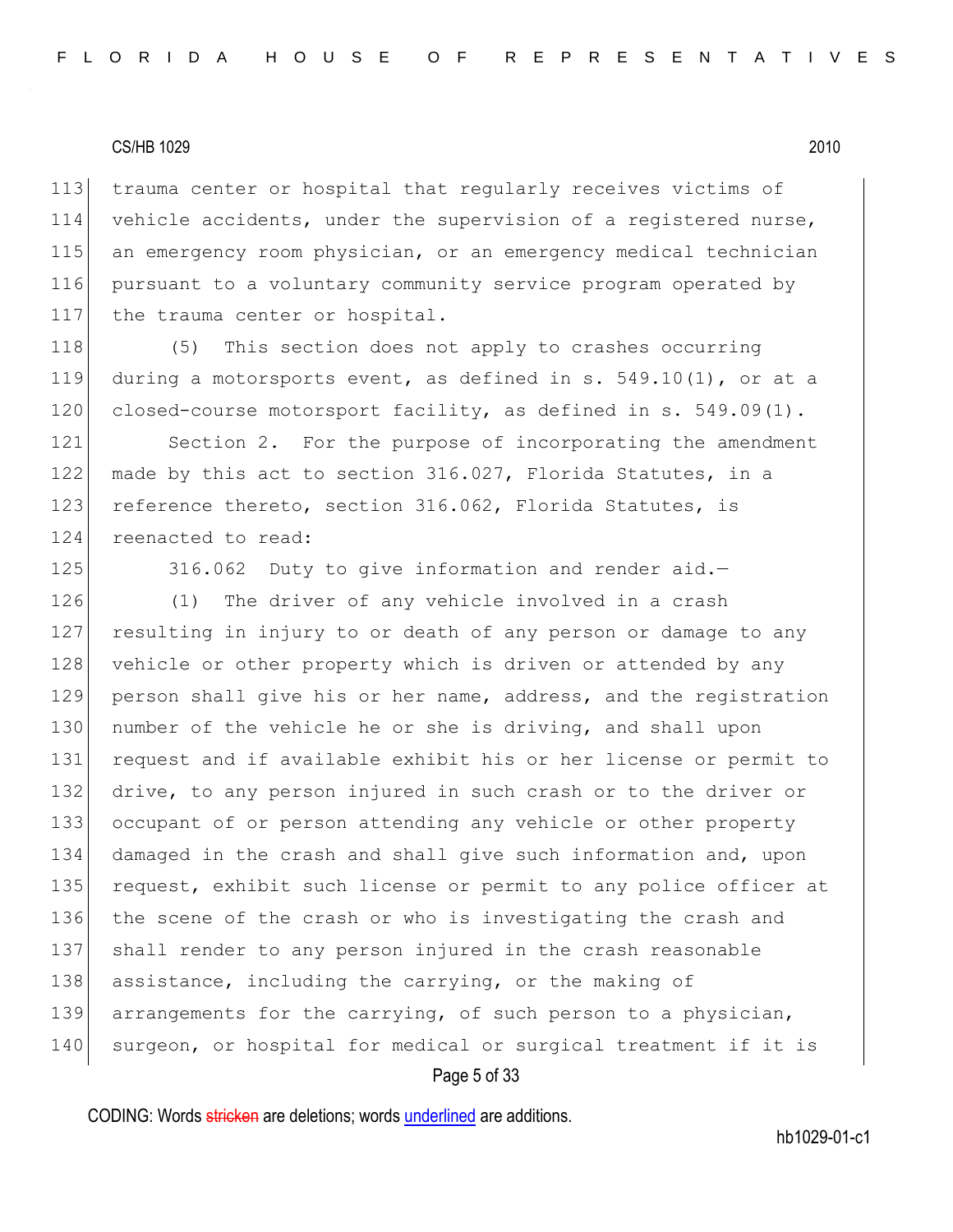trauma center or hospital that regularly receives victims of vehicle accidents, under the supervision of a registered nurse, an emergency room physician, or an emergency medical technician pursuant to a voluntary community service program operated by 117 the trauma center or hospital.

118 (5) This section does not apply to crashes occurring 119 during a motorsports event, as defined in s. 549.10(1), or at a 120 closed-course motorsport facility, as defined in s. 549.09(1).

121 Section 2. For the purpose of incorporating the amendment 122 made by this act to section 316.027, Florida Statutes, in a 123 reference thereto, section 316.062, Florida Statutes, is 124 reenacted to read:

125 316.062 Duty to give information and render aid.-

126 (1) The driver of any vehicle involved in a crash 127 resulting in injury to or death of any person or damage to any 128 vehicle or other property which is driven or attended by any 129 person shall give his or her name, address, and the registration 130 number of the vehicle he or she is driving, and shall upon 131 request and if available exhibit his or her license or permit to 132 drive, to any person injured in such crash or to the driver or 133 occupant of or person attending any vehicle or other property 134 damaged in the crash and shall give such information and, upon 135 request, exhibit such license or permit to any police officer at 136 the scene of the crash or who is investigating the crash and 137 shall render to any person injured in the crash reasonable 138 assistance, including the carrying, or the making of 139 arrangements for the carrying, of such person to a physician, 140 surgeon, or hospital for medical or surgical treatment if it is

#### Page 5 of 33

CODING: Words stricken are deletions; words underlined are additions.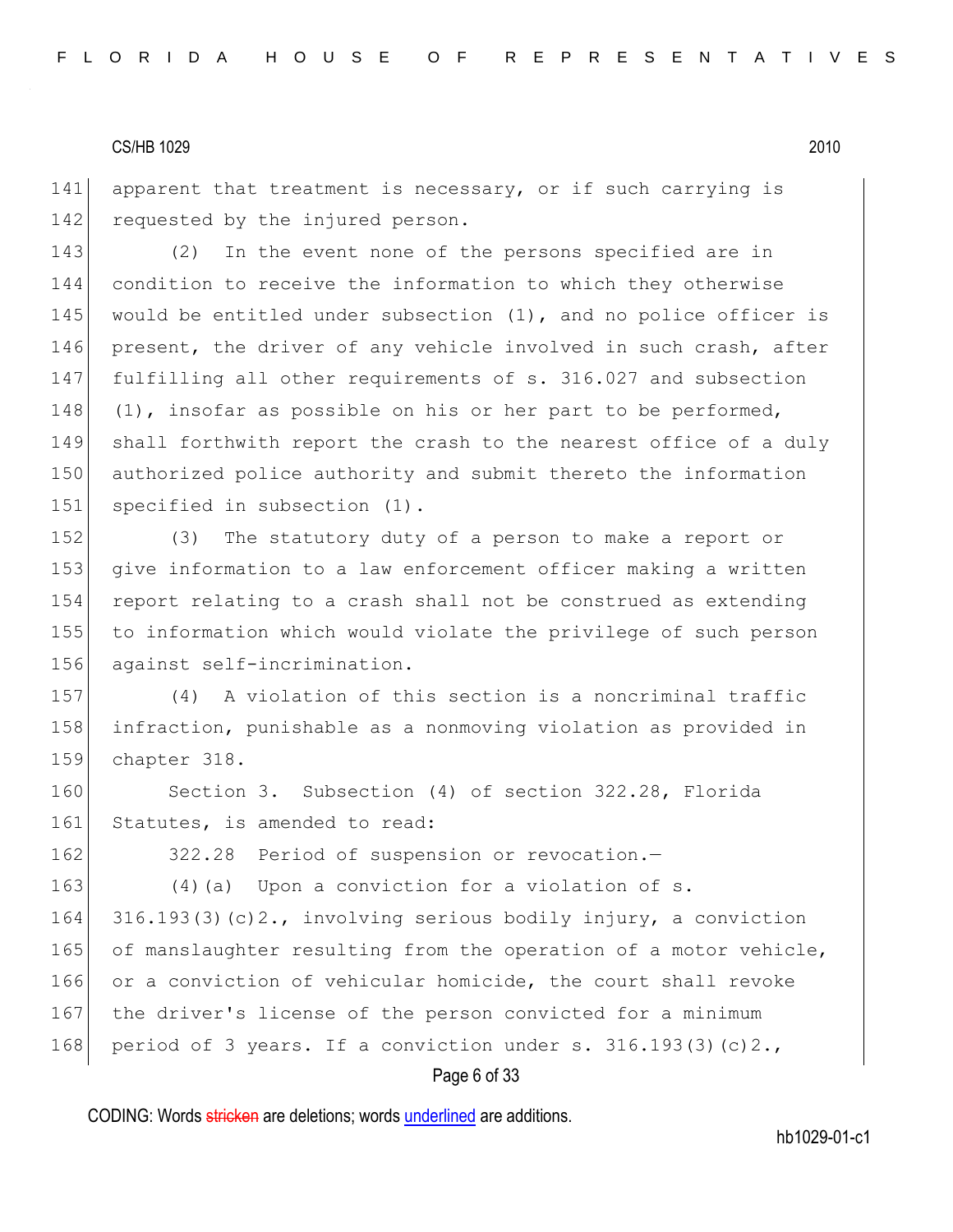141 apparent that treatment is necessary, or if such carrying is 142 requested by the injured person.

 (2) In the event none of the persons specified are in condition to receive the information to which they otherwise 145 would be entitled under subsection  $(1)$ , and no police officer is 146 present, the driver of any vehicle involved in such crash, after fulfilling all other requirements of s. 316.027 and subsection  $(1)$ , insofar as possible on his or her part to be performed, shall forthwith report the crash to the nearest office of a duly authorized police authority and submit thereto the information 151 specified in subsection (1).

152 (3) The statutory duty of a person to make a report or 153 give information to a law enforcement officer making a written 154 report relating to a crash shall not be construed as extending 155 to information which would violate the privilege of such person 156 against self-incrimination.

157 (4) A violation of this section is a noncriminal traffic 158 infraction, punishable as a nonmoving violation as provided in 159 chapter 318.

160 Section 3. Subsection (4) of section 322.28, Florida 161 Statutes, is amended to read:

162 322.28 Period of suspension or revocation.

163 (4) (a) Upon a conviction for a violation of s. 164 316.193(3)(c)2., involving serious bodily injury, a conviction 165 of manslaughter resulting from the operation of a motor vehicle, 166 or a conviction of vehicular homicide, the court shall revoke 167 the driver's license of the person convicted for a minimum 168 period of 3 years. If a conviction under s.  $316.193(3)(c)2.$ 

#### Page 6 of 33

CODING: Words stricken are deletions; words underlined are additions.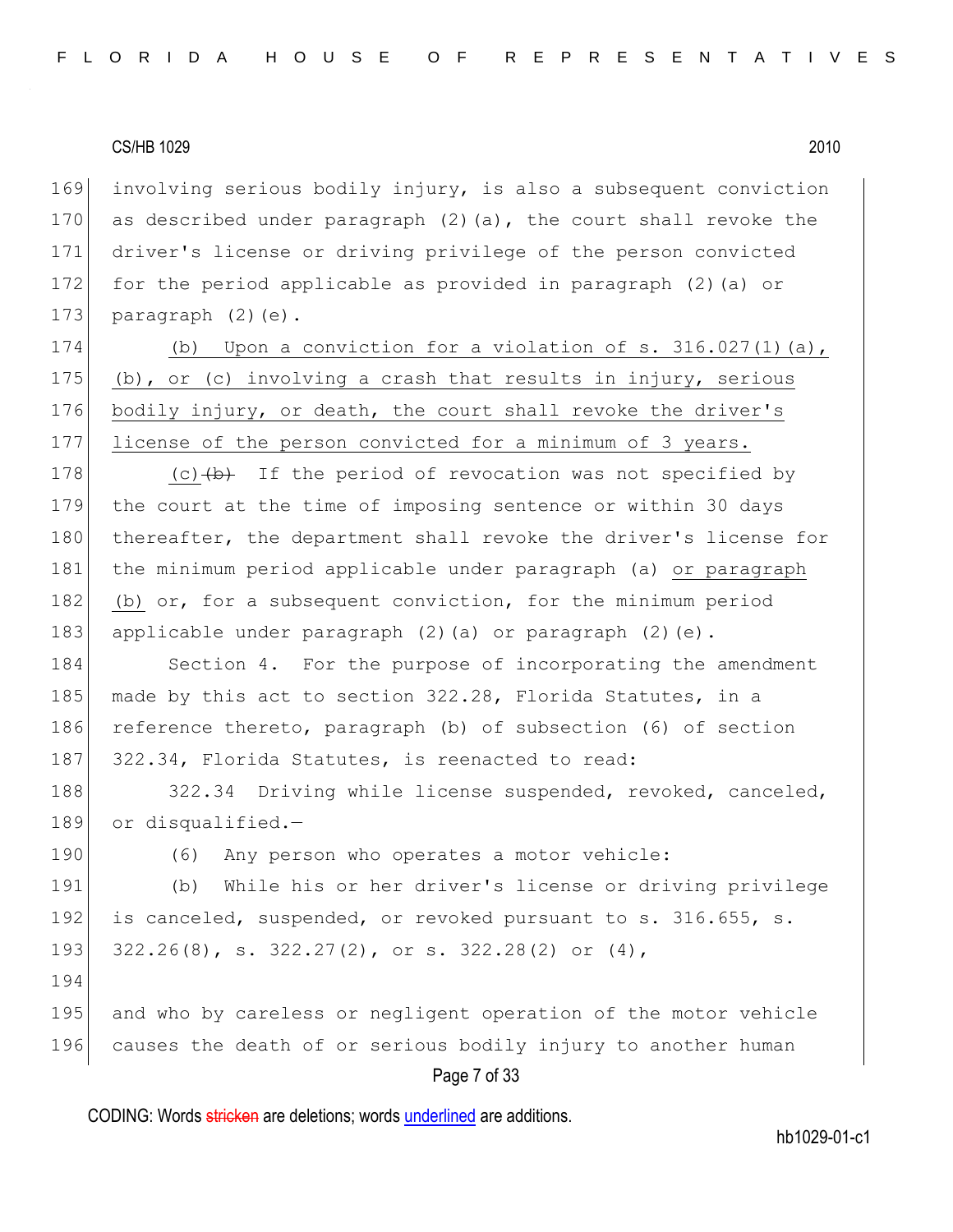169 involving serious bodily injury, is also a subsequent conviction 170 as described under paragraph  $(2)$  (a), the court shall revoke the 171 driver's license or driving privilege of the person convicted 172 for the period applicable as provided in paragraph (2)(a) or 173 paragraph  $(2)(e)$ .

174 (b) Upon a conviction for a violation of s. 316.027(1)(a), 175 (b), or (c) involving a crash that results in injury, serious 176 bodily injury, or death, the court shall revoke the driver's 177 license of the person convicted for a minimum of 3 years.

178  $(c)$   $(b)$  If the period of revocation was not specified by 179 the court at the time of imposing sentence or within 30 days 180 thereafter, the department shall revoke the driver's license for 181 the minimum period applicable under paragraph (a) or paragraph 182 (b) or, for a subsequent conviction, for the minimum period 183 applicable under paragraph (2)(a) or paragraph (2)(e).

184 Section 4. For the purpose of incorporating the amendment 185 made by this act to section 322.28, Florida Statutes, in a 186 reference thereto, paragraph (b) of subsection (6) of section 187 322.34, Florida Statutes, is reenacted to read:

188 322.34 Driving while license suspended, revoked, canceled, 189 or disqualified.-

190 (6) Any person who operates a motor vehicle:

191 (b) While his or her driver's license or driving privilege 192 is canceled, suspended, or revoked pursuant to s. 316.655, s. 193 322.26(8), s. 322.27(2), or s. 322.28(2) or (4),

194

195 and who by careless or negligent operation of the motor vehicle 196 causes the death of or serious bodily injury to another human

Page 7 of 33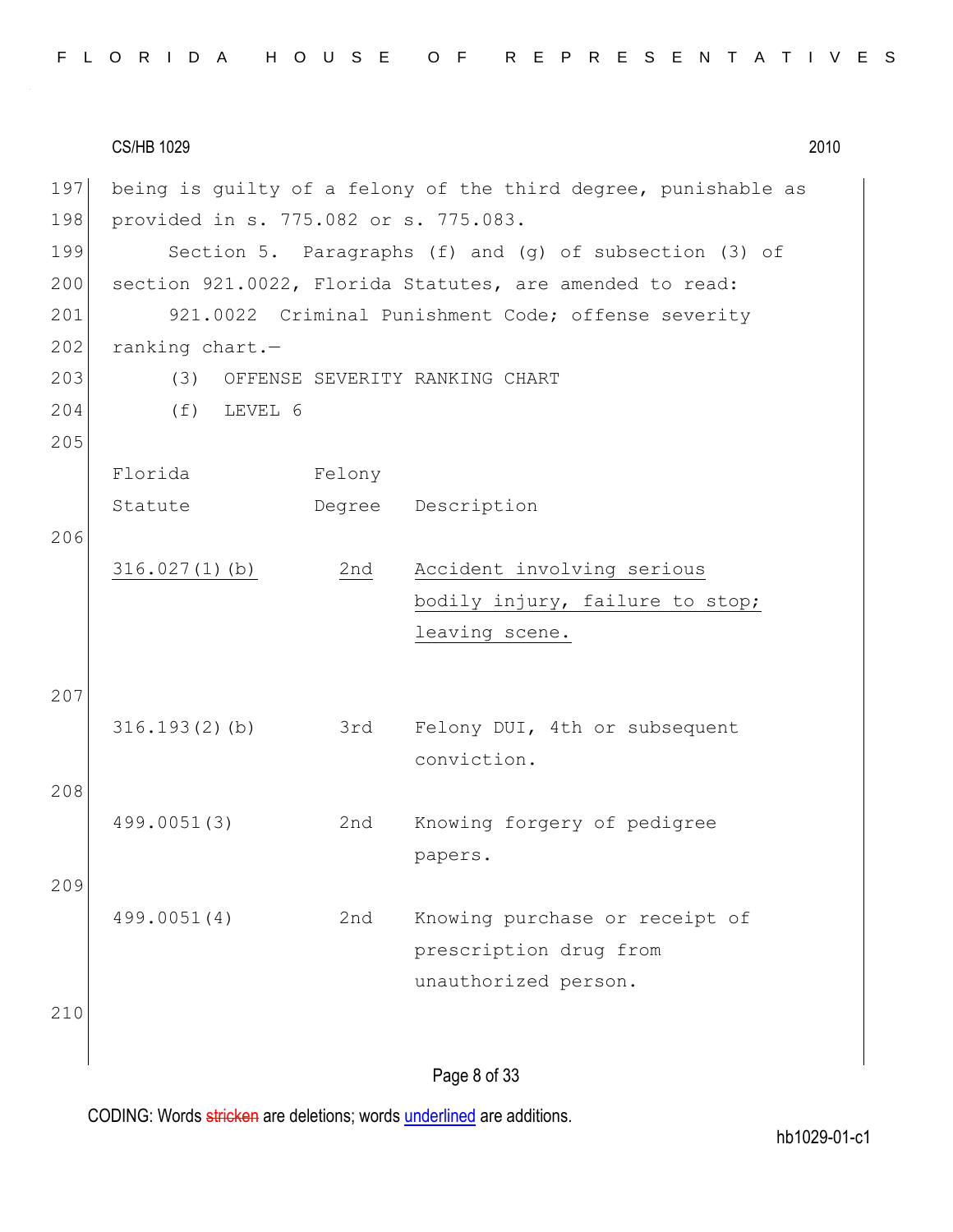|  |  |  |  |  |  |  |  |  |  |  |  |  |  | FLORIDA HOUSE OF REPRESENTATIVES |  |  |  |  |  |  |  |  |  |  |  |  |  |  |  |  |  |  |  |  |
|--|--|--|--|--|--|--|--|--|--|--|--|--|--|----------------------------------|--|--|--|--|--|--|--|--|--|--|--|--|--|--|--|--|--|--|--|--|
|--|--|--|--|--|--|--|--|--|--|--|--|--|--|----------------------------------|--|--|--|--|--|--|--|--|--|--|--|--|--|--|--|--|--|--|--|--|

| 197 |                                       |        | being is quilty of a felony of the third degree, punishable as |
|-----|---------------------------------------|--------|----------------------------------------------------------------|
| 198 | provided in s. 775.082 or s. 775.083. |        |                                                                |
| 199 |                                       |        | Section 5. Paragraphs (f) and (g) of subsection (3) of         |
| 200 |                                       |        | section 921.0022, Florida Statutes, are amended to read:       |
| 201 |                                       |        | 921.0022 Criminal Punishment Code; offense severity            |
| 202 | ranking chart.-                       |        |                                                                |
| 203 | (3)                                   |        | OFFENSE SEVERITY RANKING CHART                                 |
| 204 | LEVEL 6<br>(f)                        |        |                                                                |
| 205 |                                       |        |                                                                |
|     | Florida                               | Felony |                                                                |
|     | Statute                               |        | Degree Description                                             |
| 206 |                                       |        |                                                                |
|     | 316.027(1)(b)                         | 2nd    | Accident involving serious                                     |
|     |                                       |        | bodily injury, failure to stop;                                |
|     |                                       |        | leaving scene.                                                 |
|     |                                       |        |                                                                |
| 207 |                                       |        |                                                                |
|     | 316.193(2)(b)                         | 3rd    | Felony DUI, 4th or subsequent                                  |
|     |                                       |        | conviction.                                                    |
| 208 |                                       |        |                                                                |
|     | 499.0051(3)                           | 2nd    | Knowing forgery of pedigree                                    |
|     |                                       |        | papers.                                                        |
| 209 |                                       |        |                                                                |
|     | 499.0051(4)                           | 2nd    | Knowing purchase or receipt of                                 |
|     |                                       |        | prescription drug from                                         |
|     |                                       |        | unauthorized person.                                           |
| 210 |                                       |        |                                                                |
|     |                                       |        |                                                                |
|     |                                       |        | Page 8 of 33                                                   |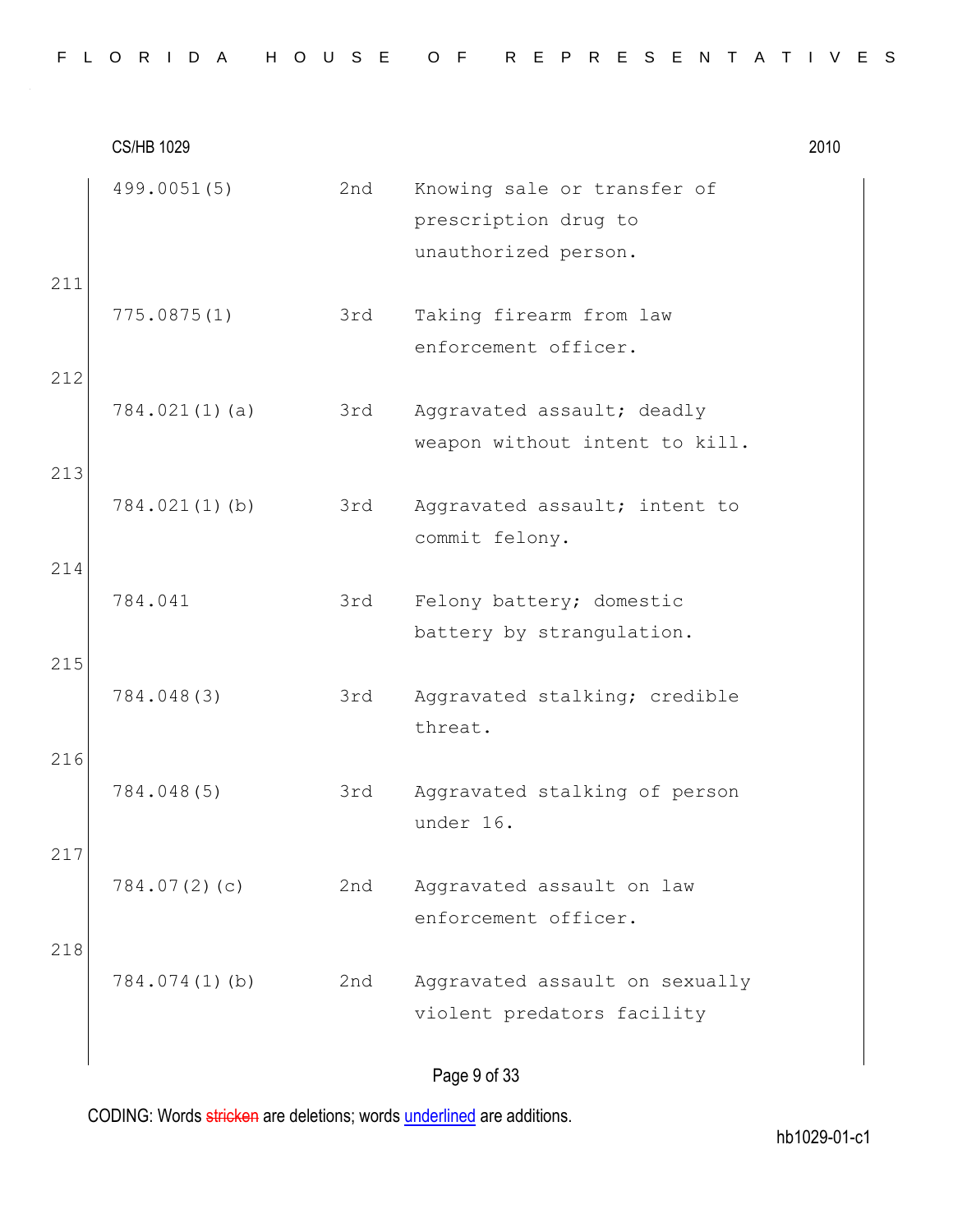CS/HB 1029 2010 499.0051(5) 2nd Knowing sale or transfer of prescription drug to unauthorized person. 211 775.0875(1) 3rd Taking firearm from law enforcement officer. 212 784.021(1)(a) 3rd Aggravated assault; deadly weapon without intent to kill. 213 784.021(1)(b) 3rd Aggravated assault; intent to commit felony. 214 784.041 3rd Felony battery; domestic battery by strangulation. 215 784.048(3) 3rd Aggravated stalking; credible threat. 216 784.048(5) 3rd Aggravated stalking of person under 16. 217 784.07(2)(c) 2nd Aggravated assault on law enforcement officer. 218 784.074(1)(b) 2nd Aggravated assault on sexually violent predators facility

Page 9 of 33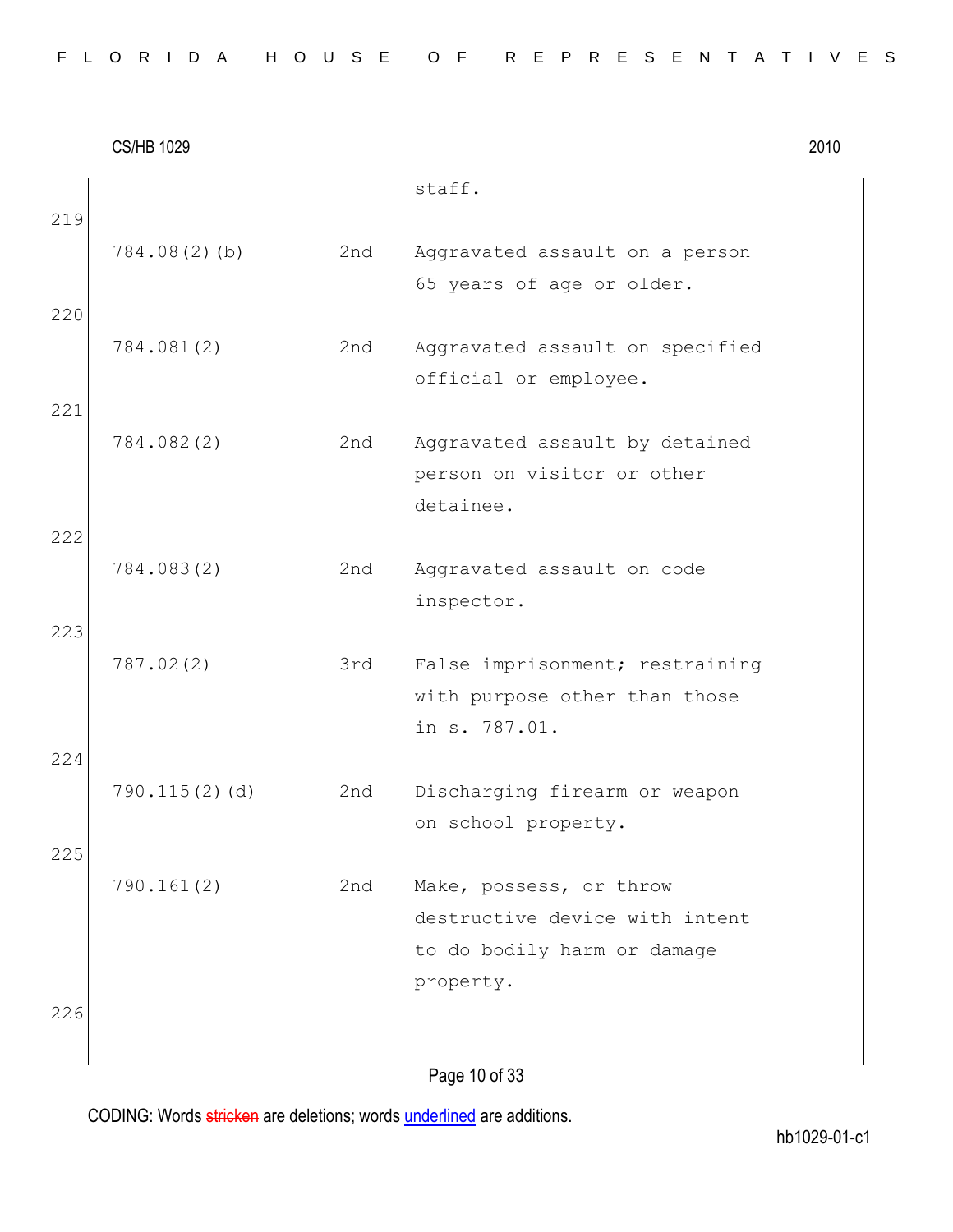|  |  |  |  |  |  | FLORIDA HOUSE OF REPRESENTATIVES |  |  |  |  |  |  |  |  |
|--|--|--|--|--|--|----------------------------------|--|--|--|--|--|--|--|--|
|  |  |  |  |  |  |                                  |  |  |  |  |  |  |  |  |

|     | <b>CS/HB 1029</b> |     |                                                                                   | 2010 |
|-----|-------------------|-----|-----------------------------------------------------------------------------------|------|
| 219 |                   |     | staff.                                                                            |      |
|     | 784.08(2)(b)      | 2nd | Aggravated assault on a person<br>65 years of age or older.                       |      |
| 220 |                   |     |                                                                                   |      |
|     | 784.081(2)        | 2nd | Aggravated assault on specified<br>official or employee.                          |      |
| 221 |                   |     |                                                                                   |      |
|     | 784.082(2)        | 2nd | Aggravated assault by detained<br>person on visitor or other                      |      |
| 222 |                   |     | detainee.                                                                         |      |
|     | 784.083(2)        | 2nd | Aggravated assault on code<br>inspector.                                          |      |
| 223 |                   |     |                                                                                   |      |
|     | 787.02(2)         | 3rd | False imprisonment; restraining<br>with purpose other than those<br>in s. 787.01. |      |
| 224 |                   |     |                                                                                   |      |
|     | $790.115(2)$ (d)  | 2nd | Discharging firearm or weapon<br>on school property.                              |      |
| 225 | 790.161(2)        | 2nd | Make, possess, or throw                                                           |      |
|     |                   |     | destructive device with intent<br>to do bodily harm or damage                     |      |
| 226 |                   |     | property.                                                                         |      |
|     |                   |     | Dago 10 of 33                                                                     |      |

Page 10 of 33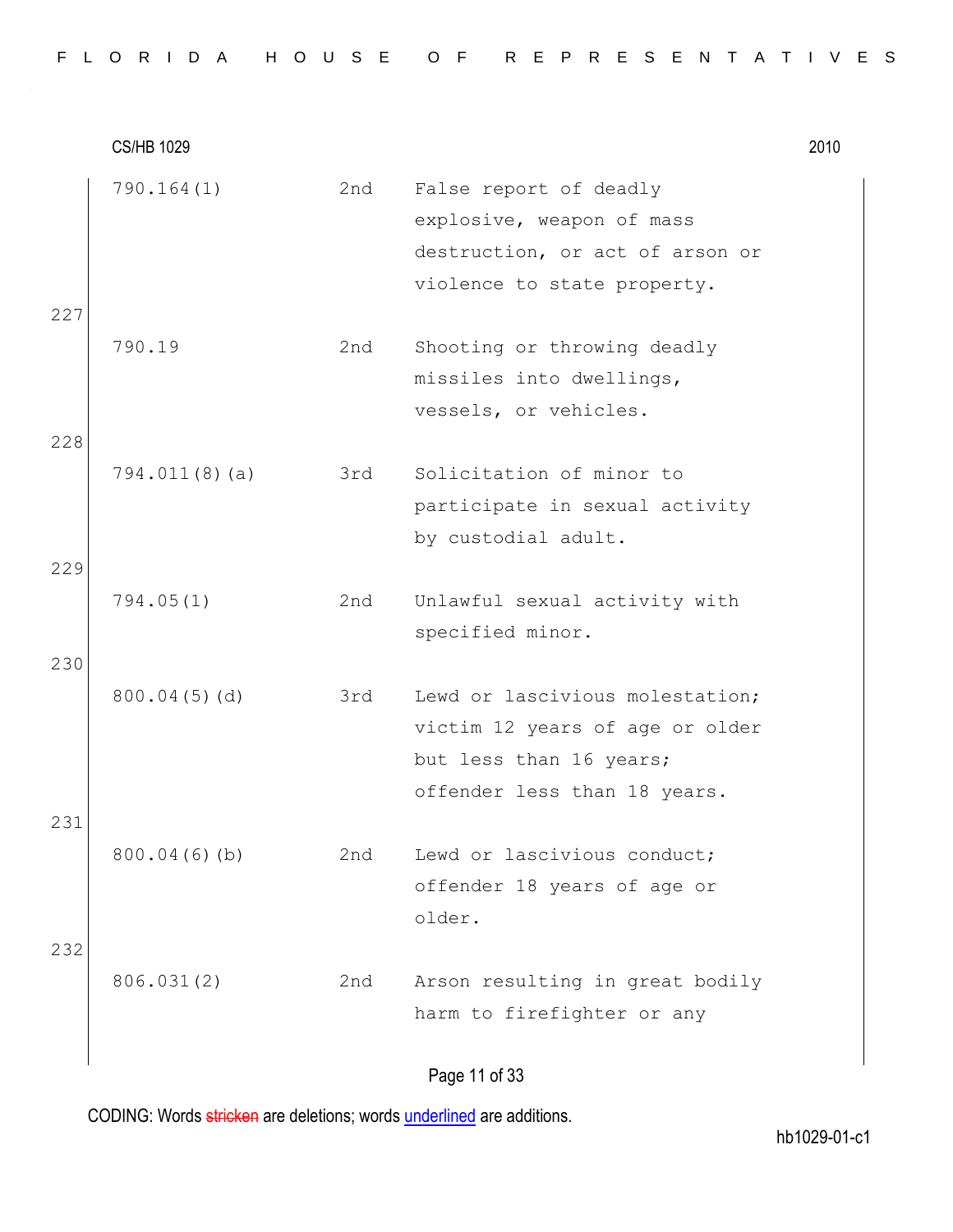|  |  |  |  |  |  |  |  |  |  |  |  |  |  | FLORIDA HOUSE OF REPRESENTATIVES |  |  |  |  |  |  |  |  |  |  |  |  |  |  |  |  |  |  |  |  |
|--|--|--|--|--|--|--|--|--|--|--|--|--|--|----------------------------------|--|--|--|--|--|--|--|--|--|--|--|--|--|--|--|--|--|--|--|--|
|--|--|--|--|--|--|--|--|--|--|--|--|--|--|----------------------------------|--|--|--|--|--|--|--|--|--|--|--|--|--|--|--|--|--|--|--|--|

CS/HB 1029 2010 790.164(1) 2nd False report of deadly explosive, weapon of mass destruction, or act of arson or violence to state property. 227 790.19 2nd Shooting or throwing deadly missiles into dwellings, vessels, or vehicles. 228 794.011(8)(a) 3rd Solicitation of minor to participate in sexual activity by custodial adult. 229 794.05(1) 2nd Unlawful sexual activity with specified minor. 230 800.04(5)(d) 3rd Lewd or lascivious molestation; victim 12 years of age or older but less than 16 years; offender less than 18 years. 231 800.04(6)(b) 2nd Lewd or lascivious conduct; offender 18 years of age or older. 232 806.031(2) 2nd Arson resulting in great bodily harm to firefighter or any

Page 11 of 33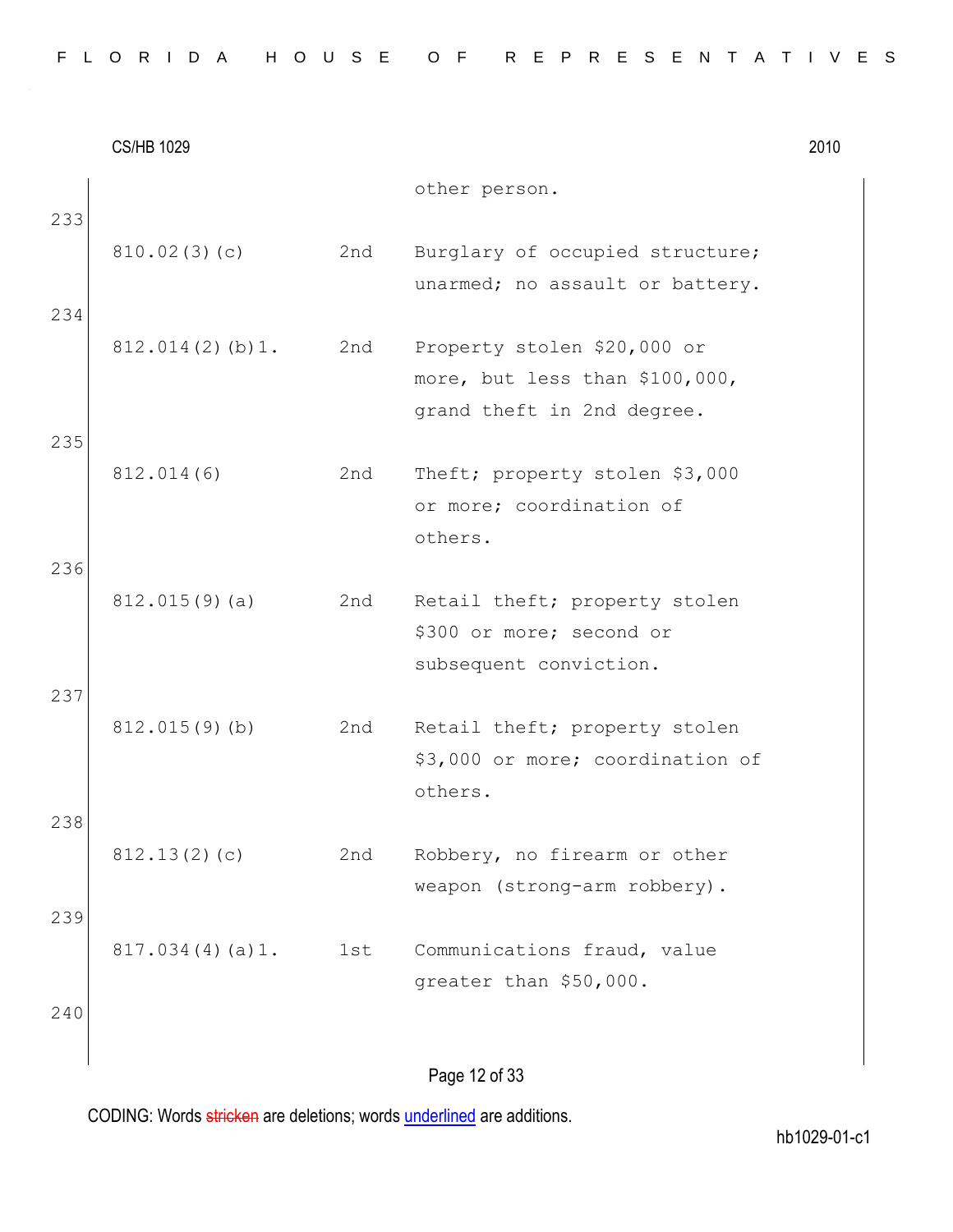|  |  |  |  |  |  | FLORIDA HOUSE OF REPRESENTATIVES |  |  |  |  |  |  |  |  |
|--|--|--|--|--|--|----------------------------------|--|--|--|--|--|--|--|--|
|  |  |  |  |  |  |                                  |  |  |  |  |  |  |  |  |

|     | <b>CS/HB 1029</b> |     |                                                                                     | 2010 |
|-----|-------------------|-----|-------------------------------------------------------------------------------------|------|
| 233 |                   |     | other person.                                                                       |      |
|     | 810.02(3)(c)      | 2nd | Burglary of occupied structure;<br>unarmed; no assault or battery.                  |      |
| 234 |                   |     |                                                                                     |      |
|     | 812.014(2)(b)1.   | 2nd | Property stolen \$20,000 or<br>more, but less than \$100,000,                       |      |
| 235 |                   |     | grand theft in 2nd degree.                                                          |      |
|     | 812.014(6)        | 2nd | Theft; property stolen \$3,000<br>or more; coordination of<br>others.               |      |
| 236 | $812.015(9)$ (a)  | 2nd | Retail theft; property stolen<br>\$300 or more; second or<br>subsequent conviction. |      |
| 237 | $812.015(9)$ (b)  | 2nd | Retail theft; property stolen<br>\$3,000 or more; coordination of<br>others.        |      |
| 238 | 812.13(2)(c)      | 2nd | Robbery, no firearm or other<br>weapon (strong-arm robbery).                        |      |
| 239 | 817.034(4)(a)1.   | 1st | Communications fraud, value<br>greater than \$50,000.                               |      |
| 240 |                   |     | Page 12 of 33                                                                       |      |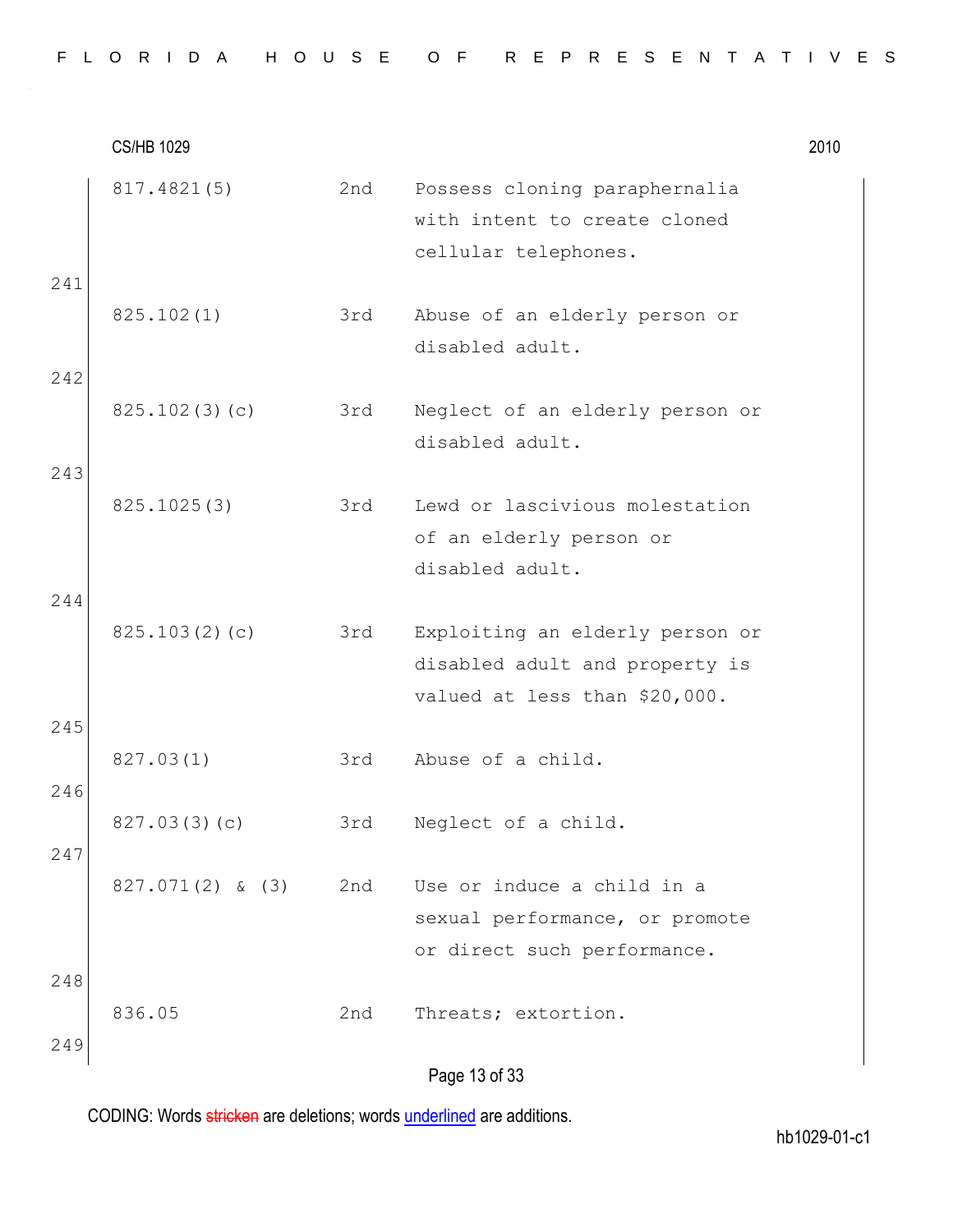|  |  |  |  |  | FLORIDA HOUSE OF REPRESENTATIVES |  |  |  |  |  |  |  |  |
|--|--|--|--|--|----------------------------------|--|--|--|--|--|--|--|--|
|  |  |  |  |  |                                  |  |  |  |  |  |  |  |  |

|            | <b>CS/HB 1029</b>  |     |                                                                                                    | 2010 |
|------------|--------------------|-----|----------------------------------------------------------------------------------------------------|------|
|            | 817.4821(5)        | 2nd | Possess cloning paraphernalia<br>with intent to create cloned<br>cellular telephones.              |      |
| 241        | 825.102(1)         | 3rd | Abuse of an elderly person or<br>disabled adult.                                                   |      |
| 242<br>243 | 825.102(3)(c)      | 3rd | Neglect of an elderly person or<br>disabled adult.                                                 |      |
|            | 825.1025(3)        | 3rd | Lewd or lascivious molestation<br>of an elderly person or<br>disabled adult.                       |      |
| 244        | 825.103(2)(c)      | 3rd | Exploiting an elderly person or<br>disabled adult and property is<br>valued at less than \$20,000. |      |
| 245<br>246 | 827.03(1)          | 3rd | Abuse of a child.                                                                                  |      |
| 247        | 827.03(3)(c)       | 3rd | Neglect of a child.                                                                                |      |
|            | $827.071(2)$ & (3) | 2nd | Use or induce a child in a<br>sexual performance, or promote<br>or direct such performance.        |      |
| 248<br>249 | 836.05             | 2nd | Threats; extortion.                                                                                |      |
|            |                    |     | Page 13 of 33                                                                                      |      |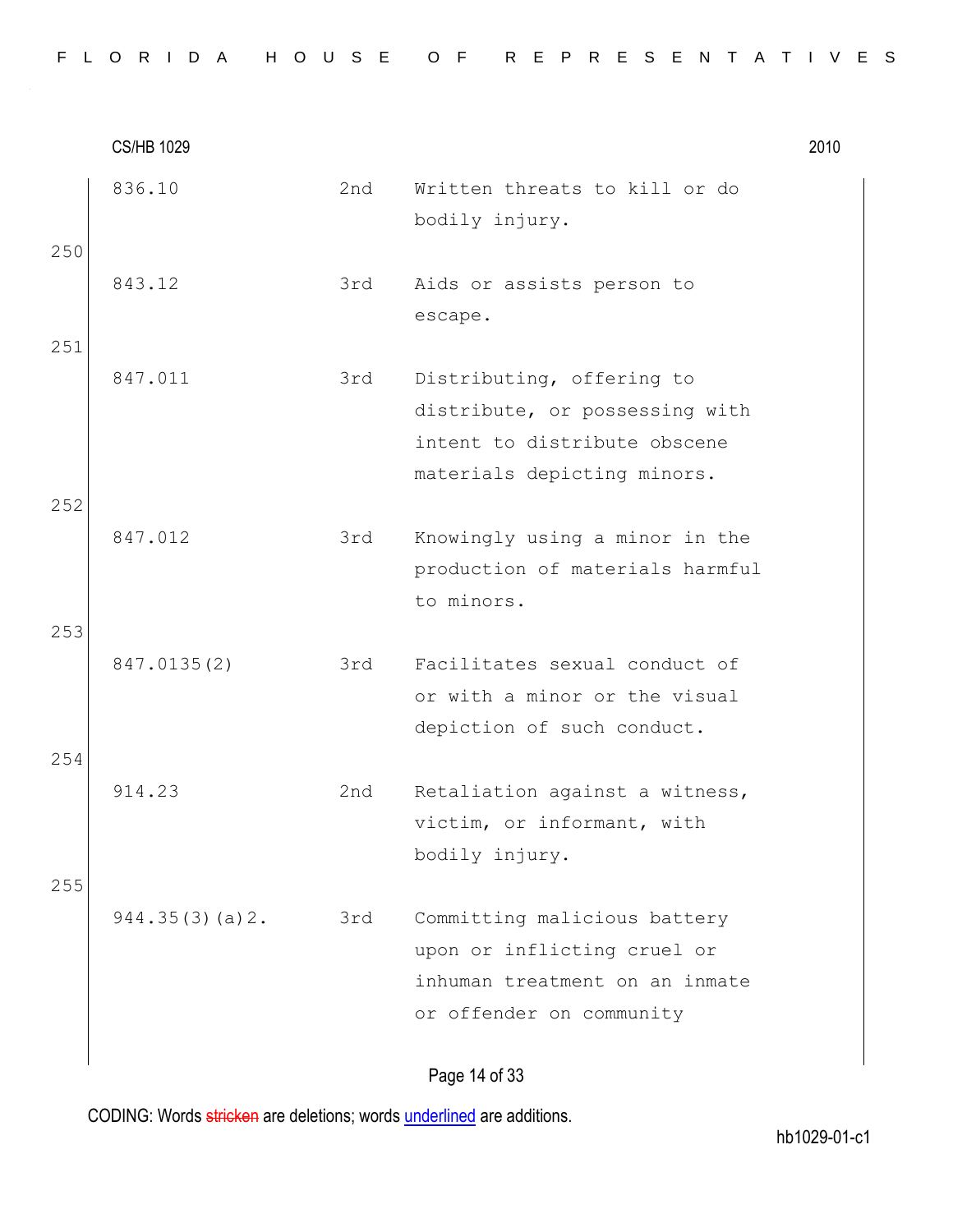|     | <b>CS/HB 1029</b> |     |                                                                                                                            | 2010 |
|-----|-------------------|-----|----------------------------------------------------------------------------------------------------------------------------|------|
| 250 | 836.10            | 2nd | Written threats to kill or do<br>bodily injury.                                                                            |      |
| 251 | 843.12            | 3rd | Aids or assists person to<br>escape.                                                                                       |      |
| 252 | 847.011           | 3rd | Distributing, offering to<br>distribute, or possessing with<br>intent to distribute obscene<br>materials depicting minors. |      |
| 253 | 847.012           | 3rd | Knowingly using a minor in the<br>production of materials harmful<br>to minors.                                            |      |
| 254 | 847.0135(2)       | 3rd | Facilitates sexual conduct of<br>or with a minor or the visual<br>depiction of such conduct.                               |      |
| 255 | 914.23            | 2nd | Retaliation against a witness,<br>victim, or informant, with<br>bodily injury.                                             |      |
|     | 944.35(3)(a)2.    | 3rd | Committing malicious battery<br>upon or inflicting cruel or<br>inhuman treatment on an inmate<br>or offender on community  |      |

# Page 14 of 33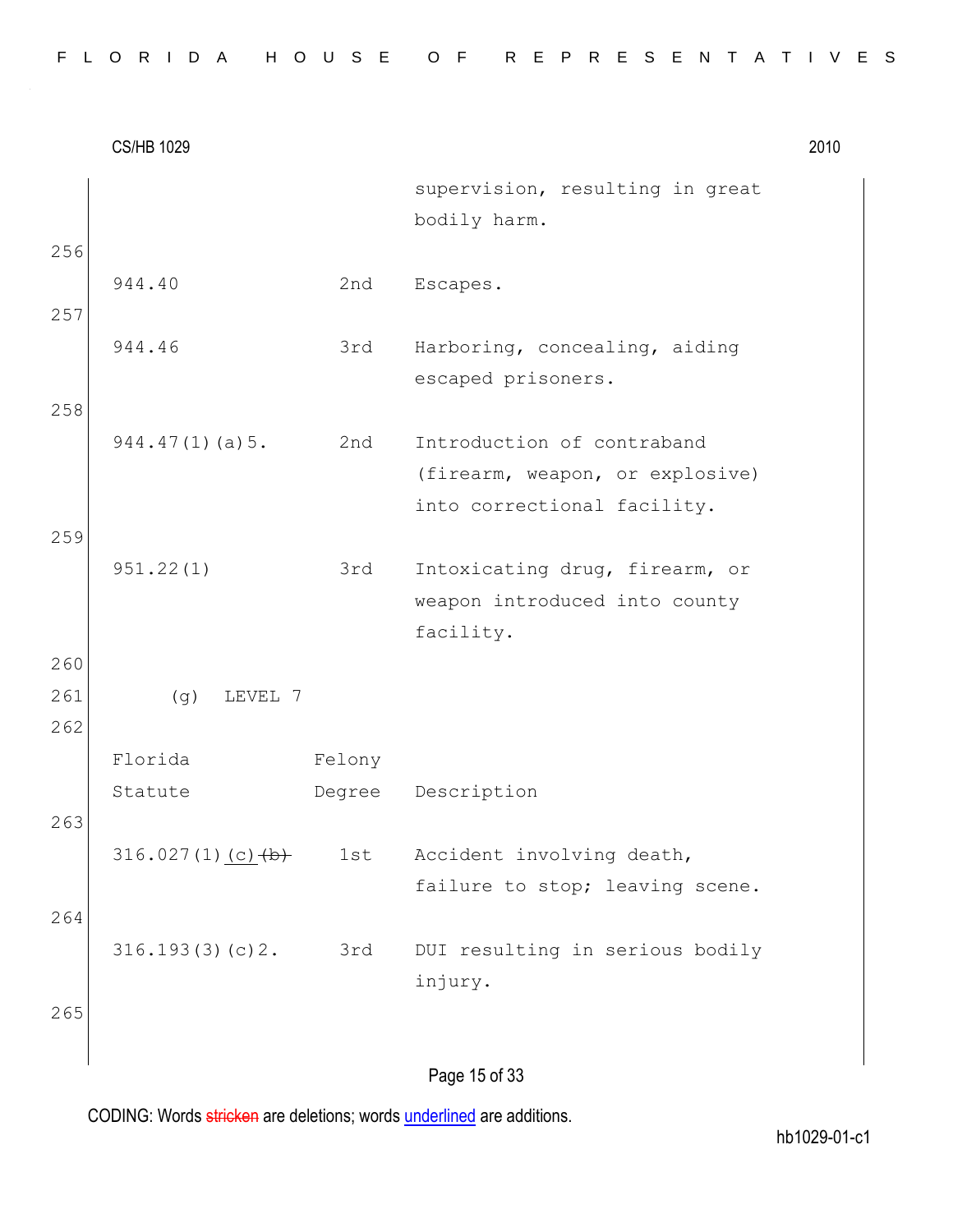CS/HB 1029 2010 Page 15 of 33 supervision, resulting in great bodily harm. 256 944.40 2nd Escapes. 257 944.46 3rd Harboring, concealing, aiding escaped prisoners. 258 944.47(1)(a)5. 2nd Introduction of contraband (firearm, weapon, or explosive) into correctional facility. 259 951.22(1) 3rd Intoxicating drug, firearm, or weapon introduced into county facility. 260 261 (g) LEVEL 7 262 Florida Statute Felony Degree Description 263 316.027(1)(c) $(b)$  1st Accident involving death, failure to stop; leaving scene. 264 316.193(3)(c)2. 3rd DUI resulting in serious bodily injury. 265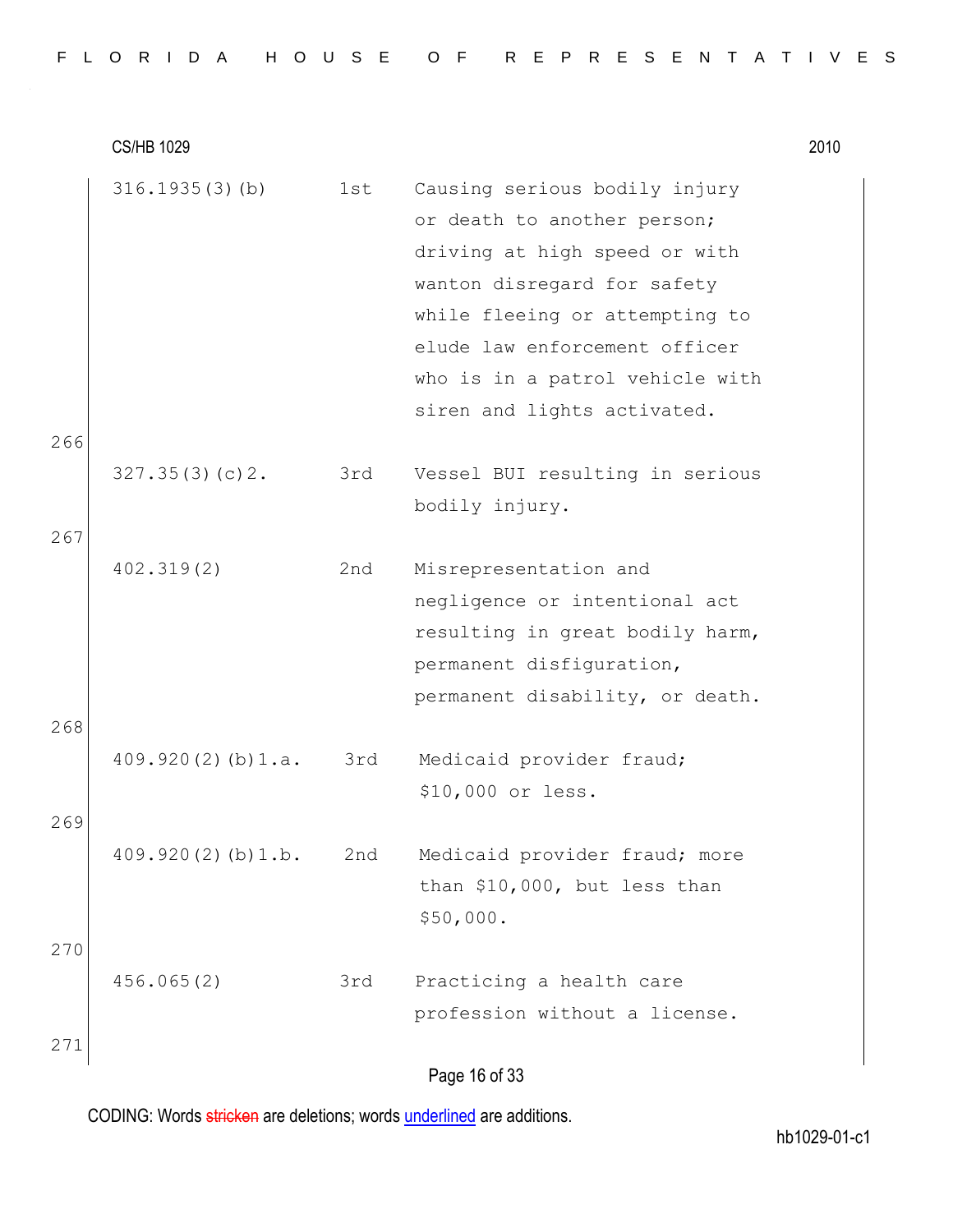| FLORIDA HOUSE OF REPRESENTATIVES |  |
|----------------------------------|--|
|----------------------------------|--|

|     | $316.1935(3)$ (b)       | 1st | Causing serious bodily injury<br>or death to another person;<br>driving at high speed or with<br>wanton disregard for safety<br>while fleeing or attempting to<br>elude law enforcement officer<br>who is in a patrol vehicle with<br>siren and lights activated. |
|-----|-------------------------|-----|-------------------------------------------------------------------------------------------------------------------------------------------------------------------------------------------------------------------------------------------------------------------|
| 266 |                         |     |                                                                                                                                                                                                                                                                   |
|     | 327.35(3)(c)2.          | 3rd | Vessel BUI resulting in serious<br>bodily injury.                                                                                                                                                                                                                 |
| 267 |                         |     |                                                                                                                                                                                                                                                                   |
|     | 402.319(2)              | 2nd | Misrepresentation and<br>negligence or intentional act<br>resulting in great bodily harm,<br>permanent disfiguration,<br>permanent disability, or death.                                                                                                          |
| 268 |                         |     |                                                                                                                                                                                                                                                                   |
| 269 | $409.920(2)$ (b) $1.a.$ | 3rd | Medicaid provider fraud;<br>\$10,000 or less.                                                                                                                                                                                                                     |
|     | 409.920(2)(b)1.b.       | 2nd | Medicaid provider fraud; more<br>than \$10,000, but less than<br>\$50,000.                                                                                                                                                                                        |
| 270 | 456.065(2)              | 3rd | Practicing a health care<br>profession without a license.                                                                                                                                                                                                         |
| 271 |                         |     |                                                                                                                                                                                                                                                                   |
|     |                         |     |                                                                                                                                                                                                                                                                   |

Page 16 of 33

CODING: Words stricken are deletions; words underlined are additions.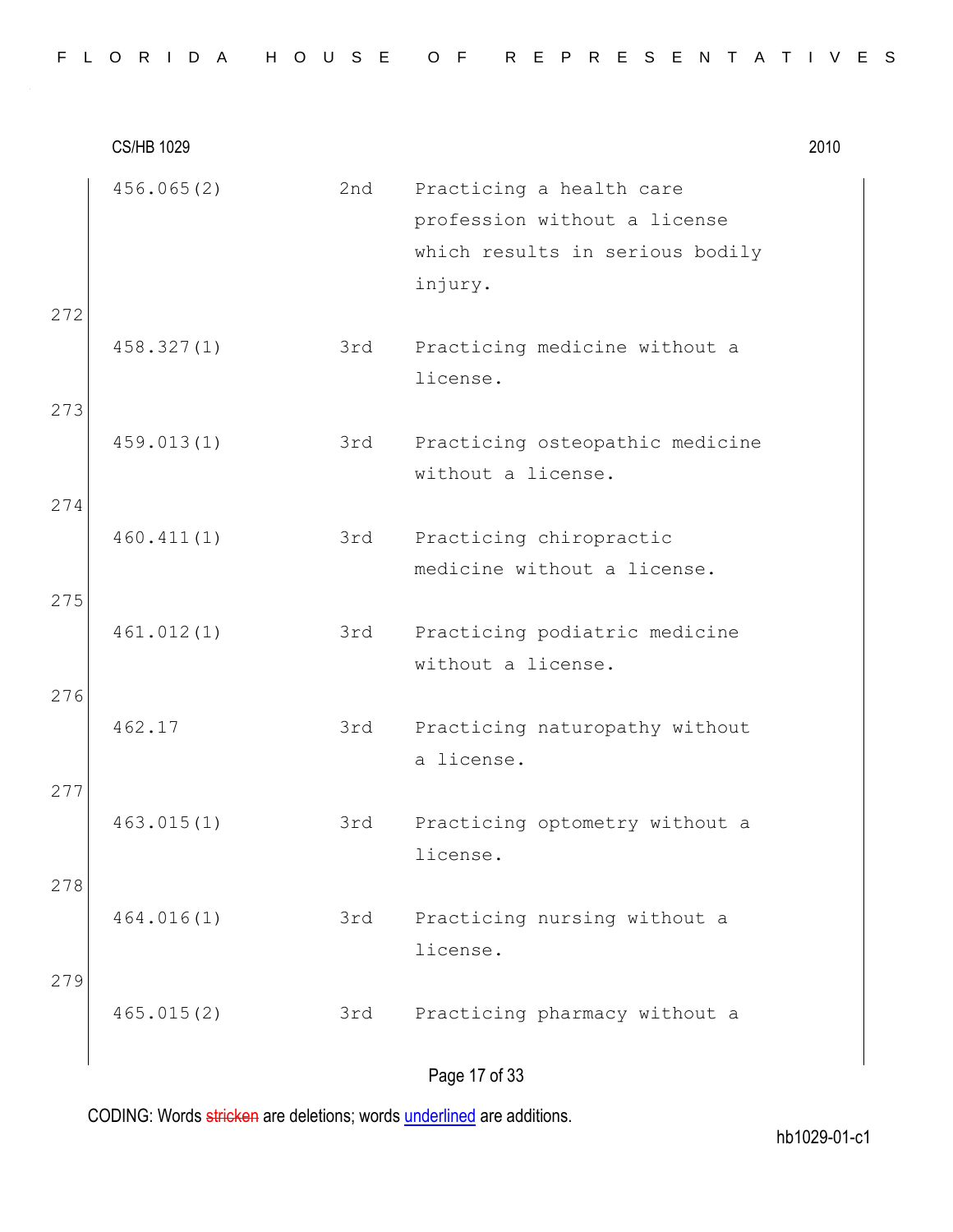|     | <b>CS/HB 1029</b> |     |                                                                                                        | 2010 |
|-----|-------------------|-----|--------------------------------------------------------------------------------------------------------|------|
|     | 456.065(2)        | 2nd | Practicing a health care<br>profession without a license<br>which results in serious bodily<br>injury. |      |
| 272 | 458.327(1)        | 3rd | Practicing medicine without a<br>license.                                                              |      |
| 273 | 459.013(1)        | 3rd | Practicing osteopathic medicine<br>without a license.                                                  |      |
| 274 | 460.411(1)        | 3rd | Practicing chiropractic<br>medicine without a license.                                                 |      |
| 275 | 461.012(1)        | 3rd | Practicing podiatric medicine<br>without a license.                                                    |      |
| 276 | 462.17            | 3rd | Practicing naturopathy without<br>a license.                                                           |      |
| 277 | 463.015(1)        | 3rd | Practicing optometry without a<br>license.                                                             |      |
| 278 | 464.016(1)        | 3rd | Practicing nursing without a<br>license.                                                               |      |
| 279 | 465.015(2)        | 3rd | Practicing pharmacy without a                                                                          |      |
|     |                   |     | Page 17 of 33                                                                                          |      |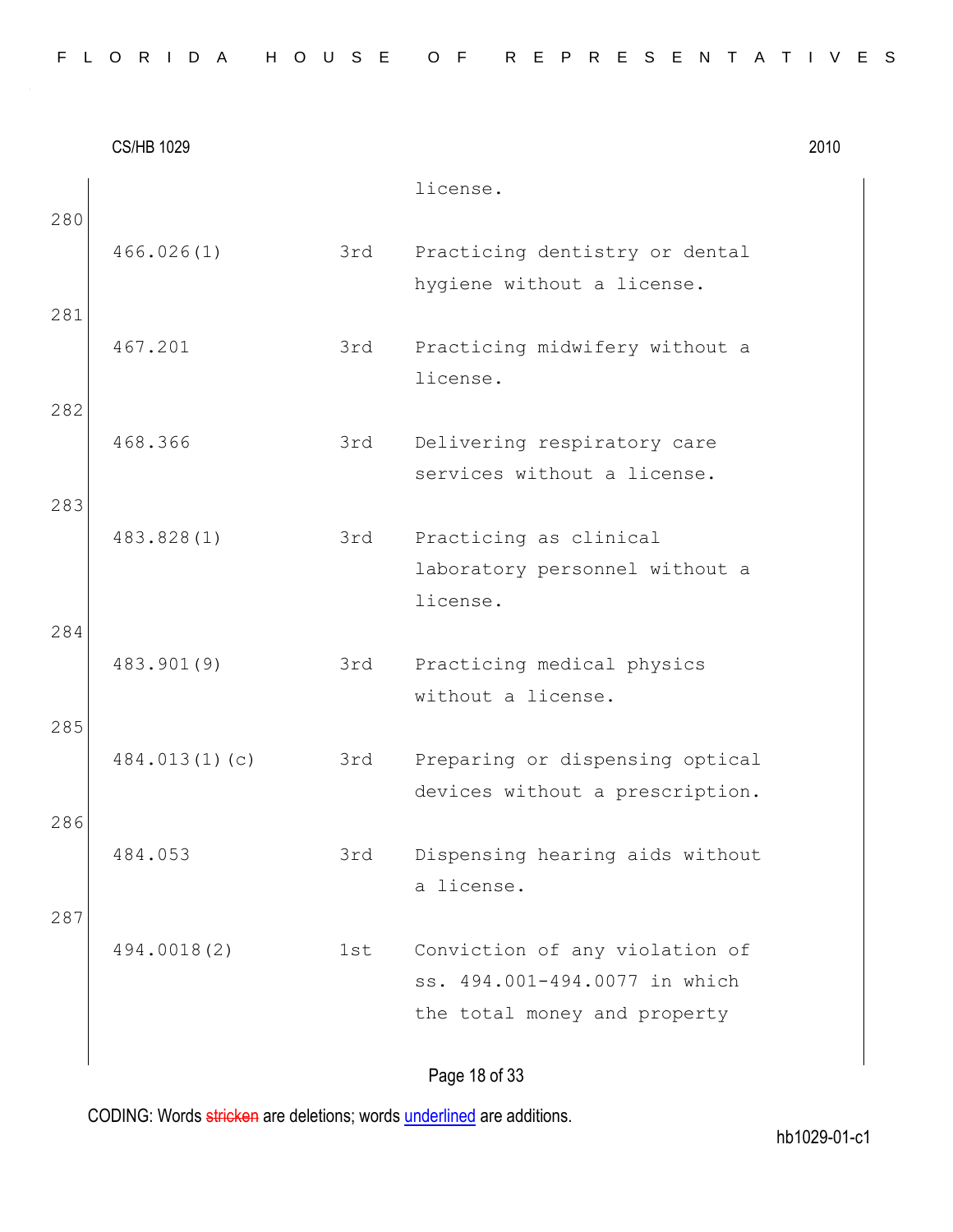|  |  |  |  |  |  | FLORIDA HOUSE OF REPRESENTATIVES |  |  |  |  |  |  |  |  |
|--|--|--|--|--|--|----------------------------------|--|--|--|--|--|--|--|--|
|  |  |  |  |  |  |                                  |  |  |  |  |  |  |  |  |

CS/HB 1029 2010 license. 280 466.026(1) 3rd Practicing dentistry or dental hygiene without a license. 281 467.201 3rd Practicing midwifery without a license. 282 468.366 3rd Delivering respiratory care services without a license. 283 483.828(1) 3rd Practicing as clinical laboratory personnel without a license. 284 483.901(9) 3rd Practicing medical physics without a license. 285 484.013(1)(c) 3rd Preparing or dispensing optical devices without a prescription. 286 484.053 3rd Dispensing hearing aids without a license. 287 494.0018(2) 1st Conviction of any violation of ss. 494.001-494.0077 in which the total money and property

Page 18 of 33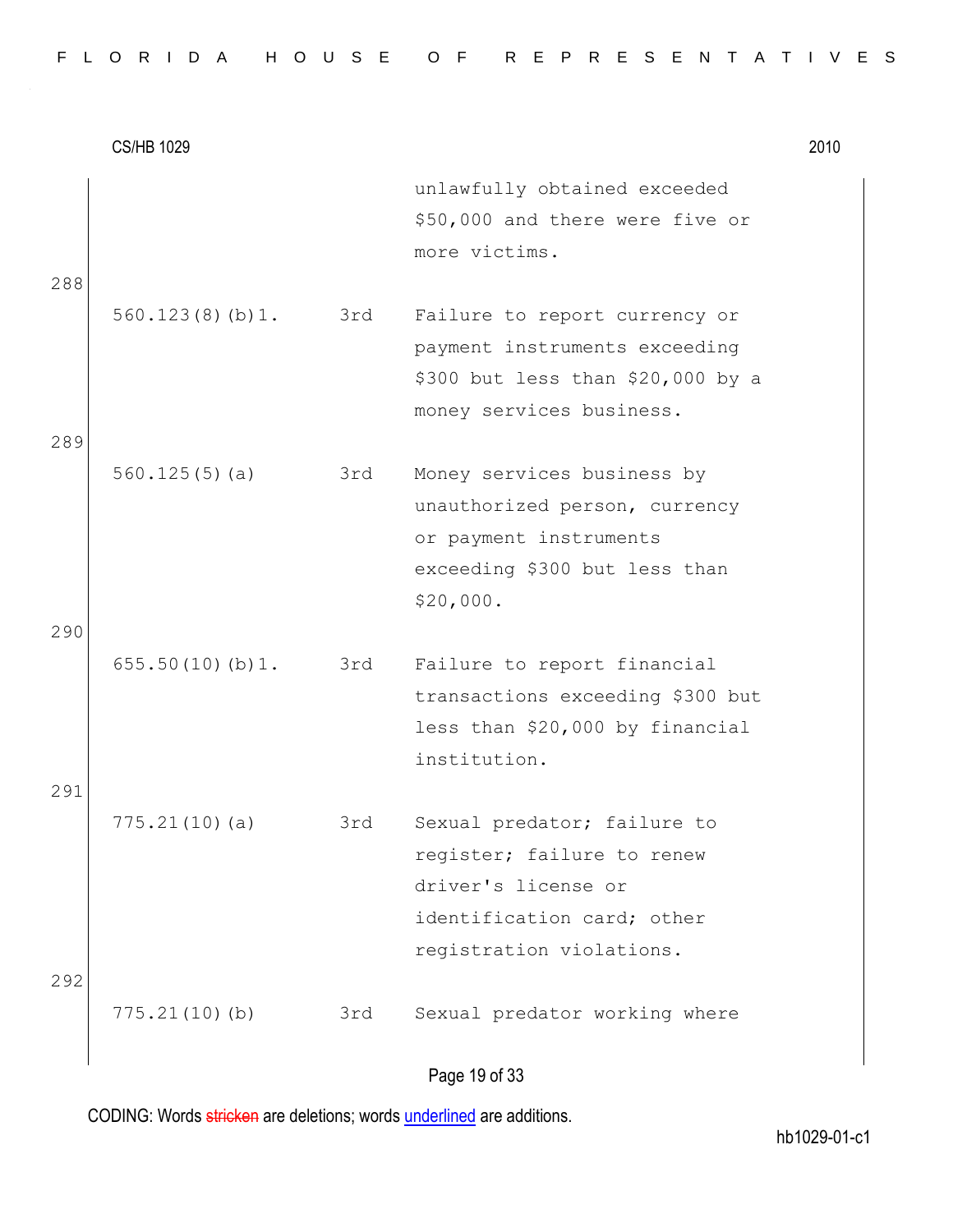|  |  |  |  |  | FLORIDA HOUSE OF REPRESENTATIVES |  |  |  |  |  |  |  |  |
|--|--|--|--|--|----------------------------------|--|--|--|--|--|--|--|--|
|  |  |  |  |  |                                  |  |  |  |  |  |  |  |  |

|     | <b>CS/HB 1029</b>   |     |                                                                                                                                            | 2010 |
|-----|---------------------|-----|--------------------------------------------------------------------------------------------------------------------------------------------|------|
| 288 |                     |     | unlawfully obtained exceeded<br>\$50,000 and there were five or<br>more victims.                                                           |      |
| 289 | 560.123(8)(b)1. 3rd |     | Failure to report currency or<br>payment instruments exceeding<br>\$300 but less than \$20,000 by a<br>money services business.            |      |
|     | 560.125(5)(a)       | 3rd | Money services business by<br>unauthorized person, currency<br>or payment instruments<br>exceeding \$300 but less than<br>\$20,000.        |      |
| 290 | 655.50(10)(b)1.     | 3rd | Failure to report financial<br>transactions exceeding \$300 but<br>less than \$20,000 by financial                                         |      |
| 291 |                     |     | institution.                                                                                                                               |      |
|     | 775.21(10)(a)       | 3rd | Sexual predator; failure to<br>register; failure to renew<br>driver's license or<br>identification card; other<br>registration violations. |      |
| 292 | 775.21(10)(b)       | 3rd | Sexual predator working where                                                                                                              |      |

## Page 19 of 33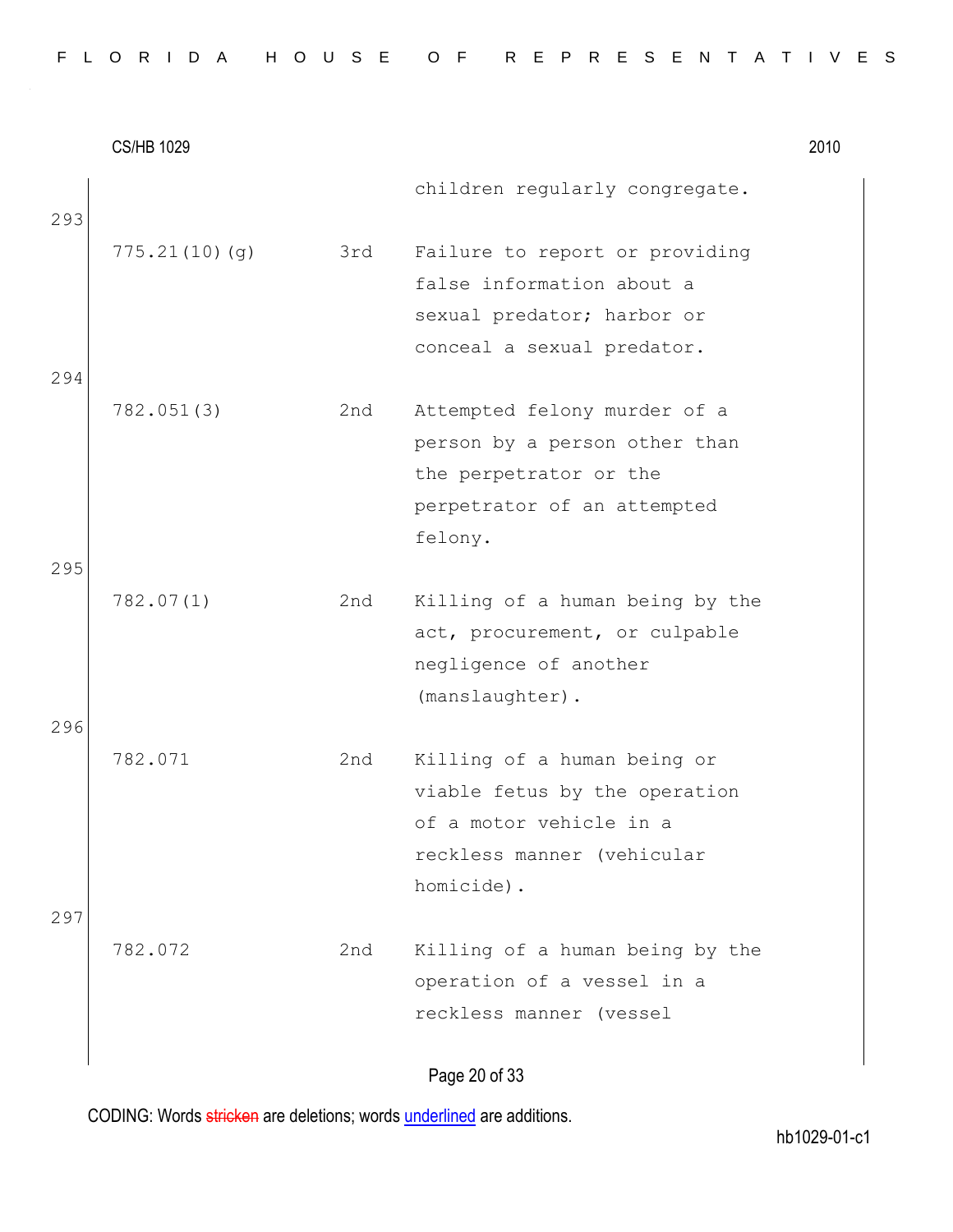|            | <b>CS/HB 1029</b> |     |                                                                                                                                     | 2010 |
|------------|-------------------|-----|-------------------------------------------------------------------------------------------------------------------------------------|------|
| 293        |                   |     | children regularly congregate.                                                                                                      |      |
|            | 775.21(10)(g)     | 3rd | Failure to report or providing<br>false information about a<br>sexual predator; harbor or<br>conceal a sexual predator.             |      |
| 294<br>295 | 782.051(3)        | 2nd | Attempted felony murder of a<br>person by a person other than<br>the perpetrator or the<br>perpetrator of an attempted<br>felony.   |      |
| 296        | 782.07(1)         | 2nd | Killing of a human being by the<br>act, procurement, or culpable<br>negligence of another<br>(manslaughter).                        |      |
|            | 782.071           | 2nd | Killing of a human being or<br>viable fetus by the operation<br>of a motor vehicle in a<br>reckless manner (vehicular<br>homicide). |      |
| 297        | 782.072           | 2nd | Killing of a human being by the<br>operation of a vessel in a<br>reckless manner (vessel                                            |      |

Page 20 of 33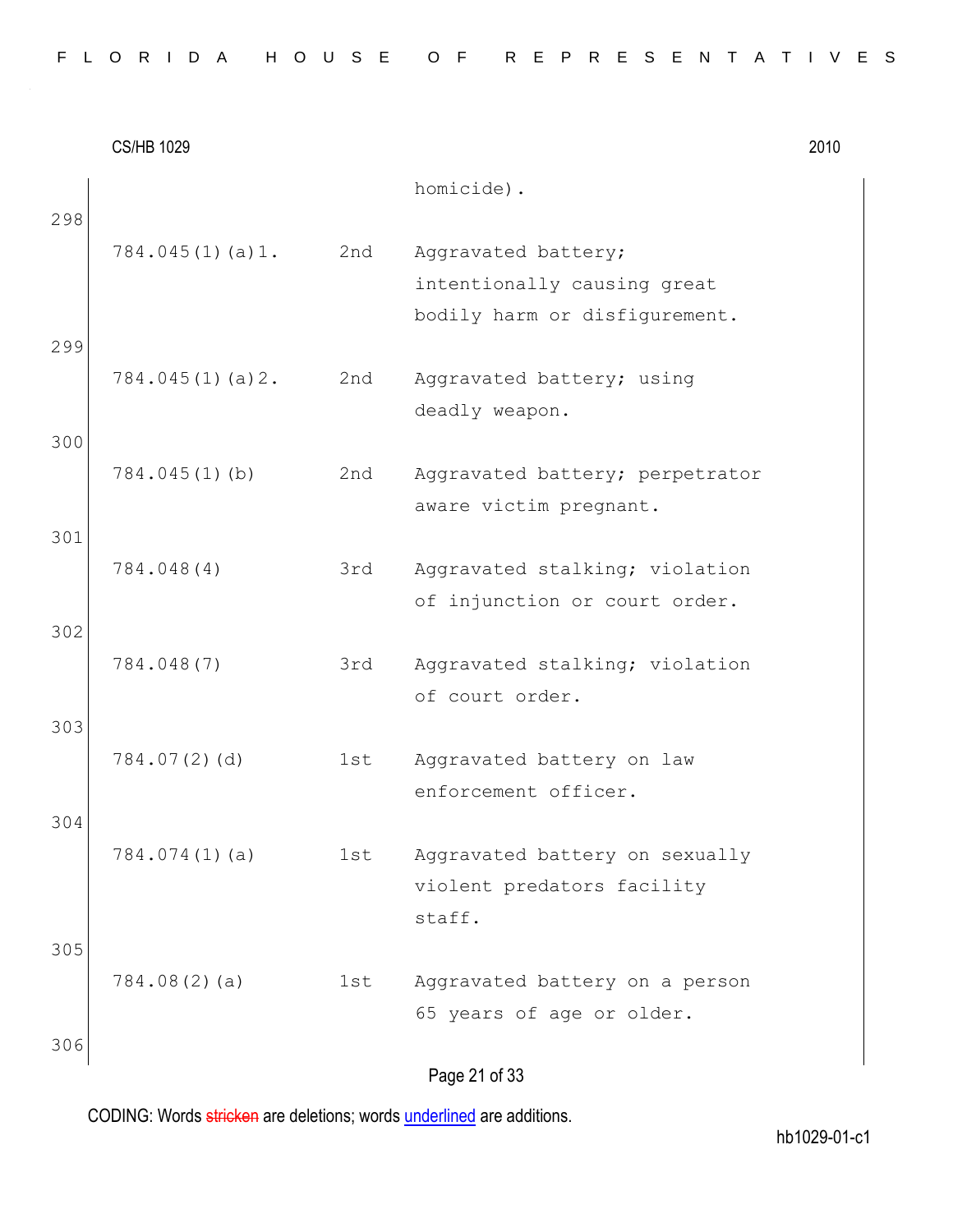|  |  |  |  |  |  | FLORIDA HOUSE OF REPRESENTATIVES |  |  |  |  |  |  |  |  |
|--|--|--|--|--|--|----------------------------------|--|--|--|--|--|--|--|--|
|  |  |  |  |  |  |                                  |  |  |  |  |  |  |  |  |

CS/HB 1029 2010 Page 21 of 33 homicide). 298 784.045(1)(a)1. 2nd Aggravated battery; intentionally causing great bodily harm or disfigurement. 299 784.045(1)(a)2. 2nd Aggravated battery; using deadly weapon. 300 784.045(1)(b) 2nd Aggravated battery; perpetrator aware victim pregnant. 301 784.048(4) 3rd Aggravated stalking; violation of injunction or court order. 302 784.048(7) 3rd Aggravated stalking; violation of court order. 303 784.07(2)(d) 1st Aggravated battery on law enforcement officer. 304 784.074(1)(a) 1st Aggravated battery on sexually violent predators facility staff. 305 784.08(2)(a) 1st Aggravated battery on a person 65 years of age or older. 306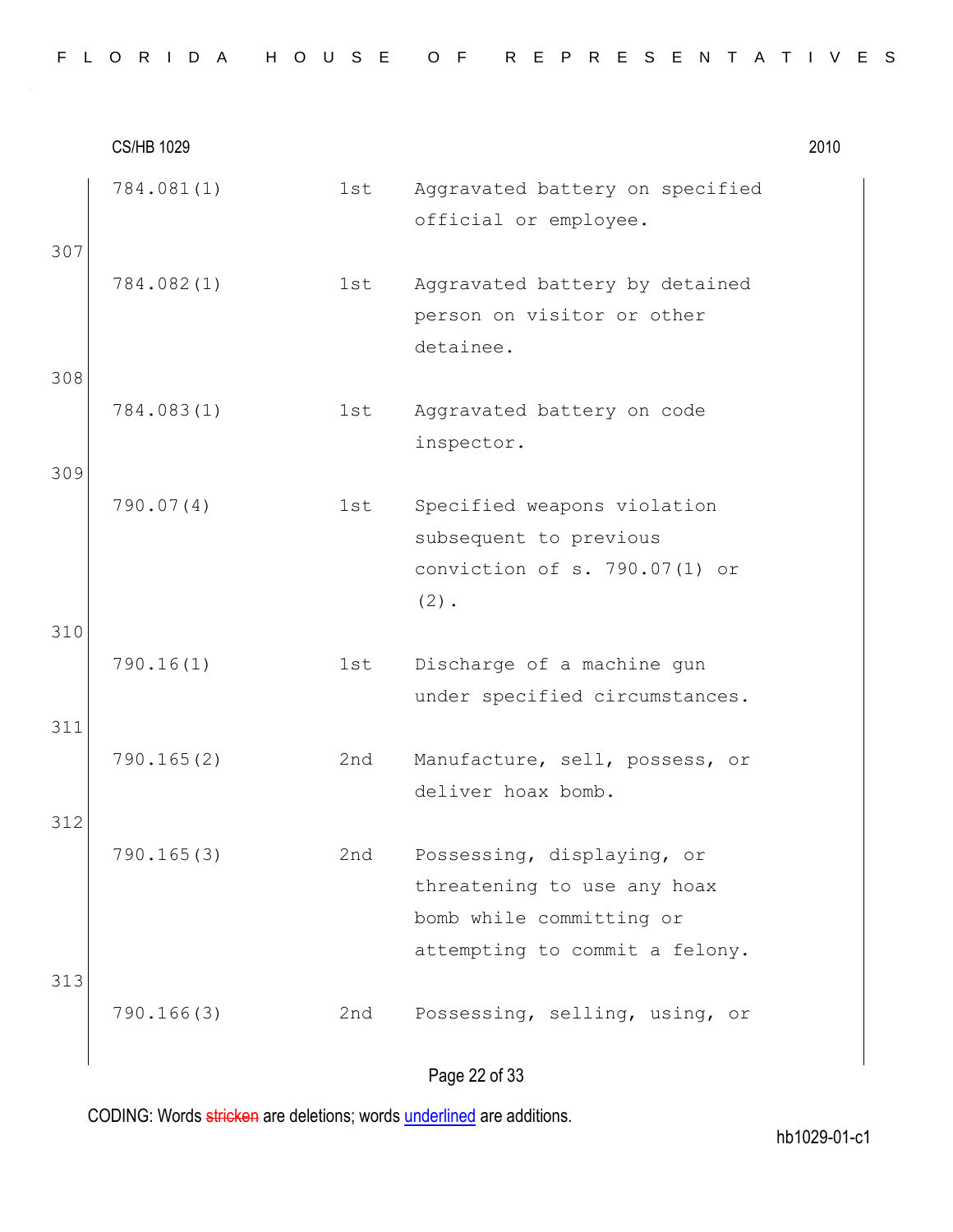|  |  |  | FLORIDA HOUSE OF REPRESENTATIVES |  |  |  |  |  |  |  |  |  |  |  |  |
|--|--|--|----------------------------------|--|--|--|--|--|--|--|--|--|--|--|--|
|  |  |  |                                  |  |  |  |  |  |  |  |  |  |  |  |  |

|            | <b>CS/HB 1029</b> |     |                                                                                                                         | 2010 |
|------------|-------------------|-----|-------------------------------------------------------------------------------------------------------------------------|------|
| 307        | 784.081(1)        | 1st | Aggravated battery on specified<br>official or employee.                                                                |      |
|            | 784.082(1)        | 1st | Aggravated battery by detained<br>person on visitor or other<br>detainee.                                               |      |
| 308<br>309 | 784.083(1)        | 1st | Aggravated battery on code<br>inspector.                                                                                |      |
|            | 790.07(4)         | 1st | Specified weapons violation<br>subsequent to previous<br>conviction of s. 790.07(1) or<br>$(2)$ .                       |      |
| 310        | 790.16(1)         | 1st | Discharge of a machine gun<br>under specified circumstances.                                                            |      |
| 311        | 790.165(2)        | 2nd | Manufacture, sell, possess, or<br>deliver hoax bomb.                                                                    |      |
| 312<br>313 | 790.165(3)        | 2nd | Possessing, displaying, or<br>threatening to use any hoax<br>bomb while committing or<br>attempting to commit a felony. |      |
|            | 790.166(3)        | 2nd | Possessing, selling, using, or<br>Page 22 of 33                                                                         |      |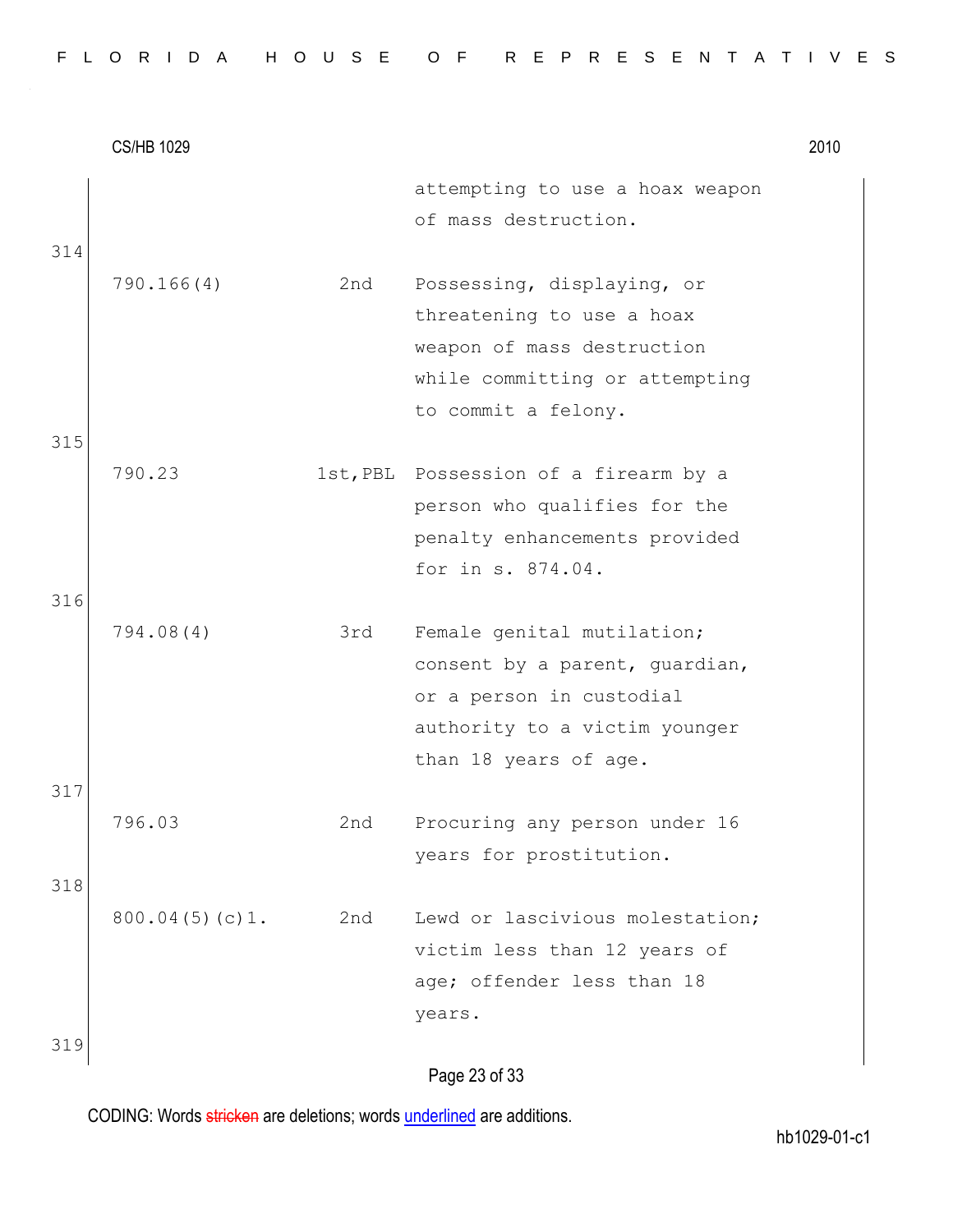|  |  |  |  |  | FLORIDA HOUSE OF REPRESENTATIVES |  |  |  |  |  |  |  |  |
|--|--|--|--|--|----------------------------------|--|--|--|--|--|--|--|--|
|  |  |  |  |  |                                  |  |  |  |  |  |  |  |  |

|     | <b>CS/HB 1029</b> |     |                                                                                                                                                    | 2010 |
|-----|-------------------|-----|----------------------------------------------------------------------------------------------------------------------------------------------------|------|
| 314 |                   |     | attempting to use a hoax weapon<br>of mass destruction.                                                                                            |      |
|     | 790.166(4)        | 2nd | Possessing, displaying, or<br>threatening to use a hoax<br>weapon of mass destruction<br>while committing or attempting<br>to commit a felony.     |      |
| 315 |                   |     |                                                                                                                                                    |      |
|     | 790.23            |     | 1st, PBL Possession of a firearm by a<br>person who qualifies for the<br>penalty enhancements provided<br>for in s. 874.04.                        |      |
| 316 |                   |     |                                                                                                                                                    |      |
|     | 794.08(4)         | 3rd | Female genital mutilation;<br>consent by a parent, guardian,<br>or a person in custodial<br>authority to a victim younger<br>than 18 years of age. |      |
| 317 |                   |     |                                                                                                                                                    |      |
| 318 | 796.03            | 2nd | Procuring any person under 16<br>years for prostitution.                                                                                           |      |
|     | 800.04(5)(c)1.    | 2nd | Lewd or lascivious molestation;<br>victim less than 12 years of<br>age; offender less than 18<br>years.                                            |      |
| 319 |                   |     | $D_{0}$ $(2, 2)$ of 22                                                                                                                             |      |

Page 23 of 33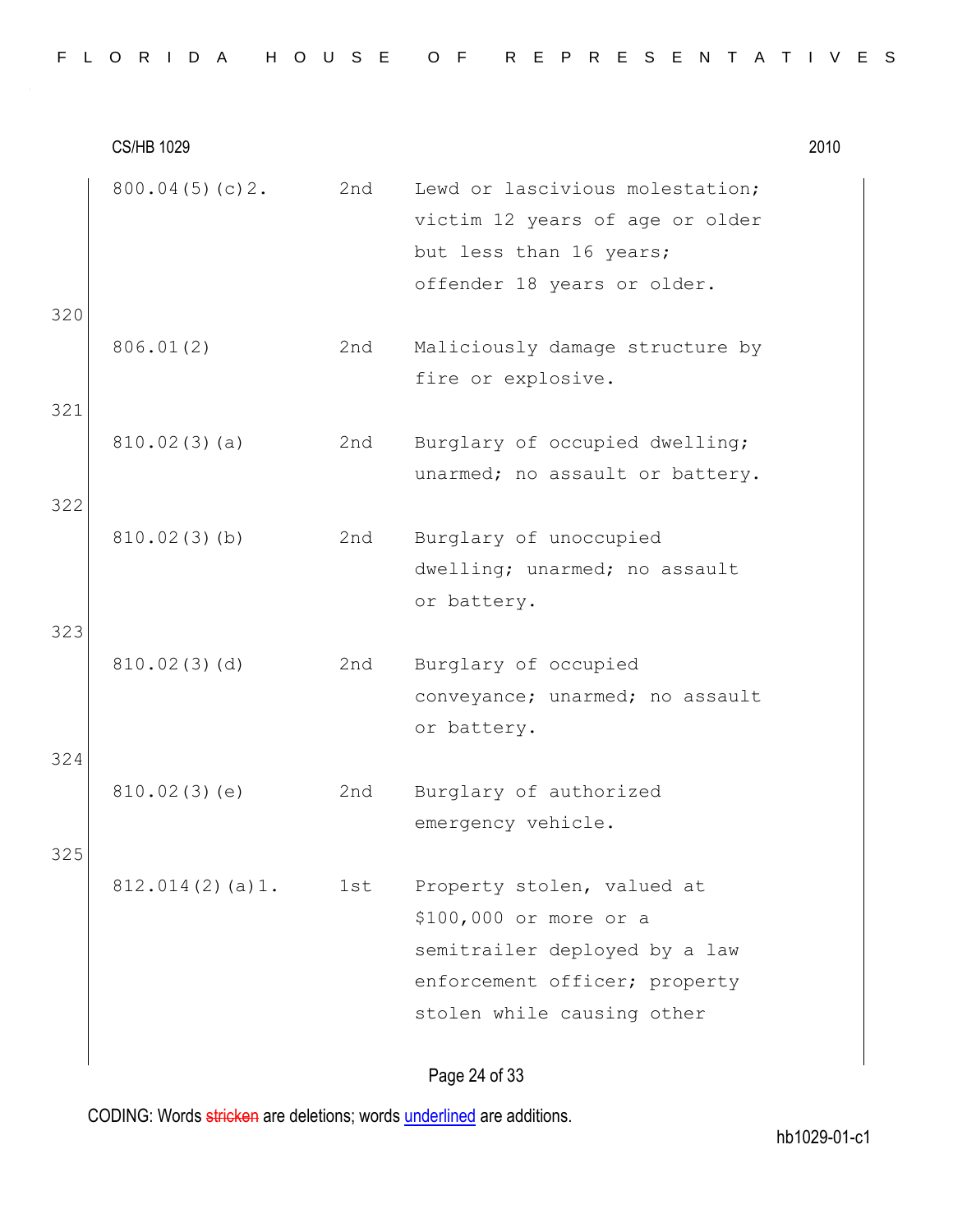|  |  |  | FLORIDA HOUSE OF REPRESENTATIVES |  |  |  |  |  |  |  |  |  |  |  |  |
|--|--|--|----------------------------------|--|--|--|--|--|--|--|--|--|--|--|--|
|  |  |  |                                  |  |  |  |  |  |  |  |  |  |  |  |  |

|     | <b>CS/HB 1029</b> |     |                                                                                                                                                      | 2010 |
|-----|-------------------|-----|------------------------------------------------------------------------------------------------------------------------------------------------------|------|
| 320 | 800.04(5)(c)2.    | 2nd | Lewd or lascivious molestation;<br>victim 12 years of age or older<br>but less than 16 years;<br>offender 18 years or older.                         |      |
| 321 | 806.01(2)         | 2nd | Maliciously damage structure by<br>fire or explosive.                                                                                                |      |
|     | 810.02(3)(a)      | 2nd | Burglary of occupied dwelling;<br>unarmed; no assault or battery.                                                                                    |      |
| 322 | 810.02(3)(b)      | 2nd | Burglary of unoccupied<br>dwelling; unarmed; no assault<br>or battery.                                                                               |      |
| 323 | 810.02(3)(d)      | 2nd | Burglary of occupied<br>conveyance; unarmed; no assault<br>or battery.                                                                               |      |
| 324 | 810.02(3)(e)      | 2nd | Burglary of authorized<br>emergency vehicle.                                                                                                         |      |
| 325 | 812.014(2)(a)1.   | 1st | Property stolen, valued at<br>\$100,000 or more or a<br>semitrailer deployed by a law<br>enforcement officer; property<br>stolen while causing other |      |
|     |                   |     | Dana 24 af 22                                                                                                                                        |      |

Page 24 of 33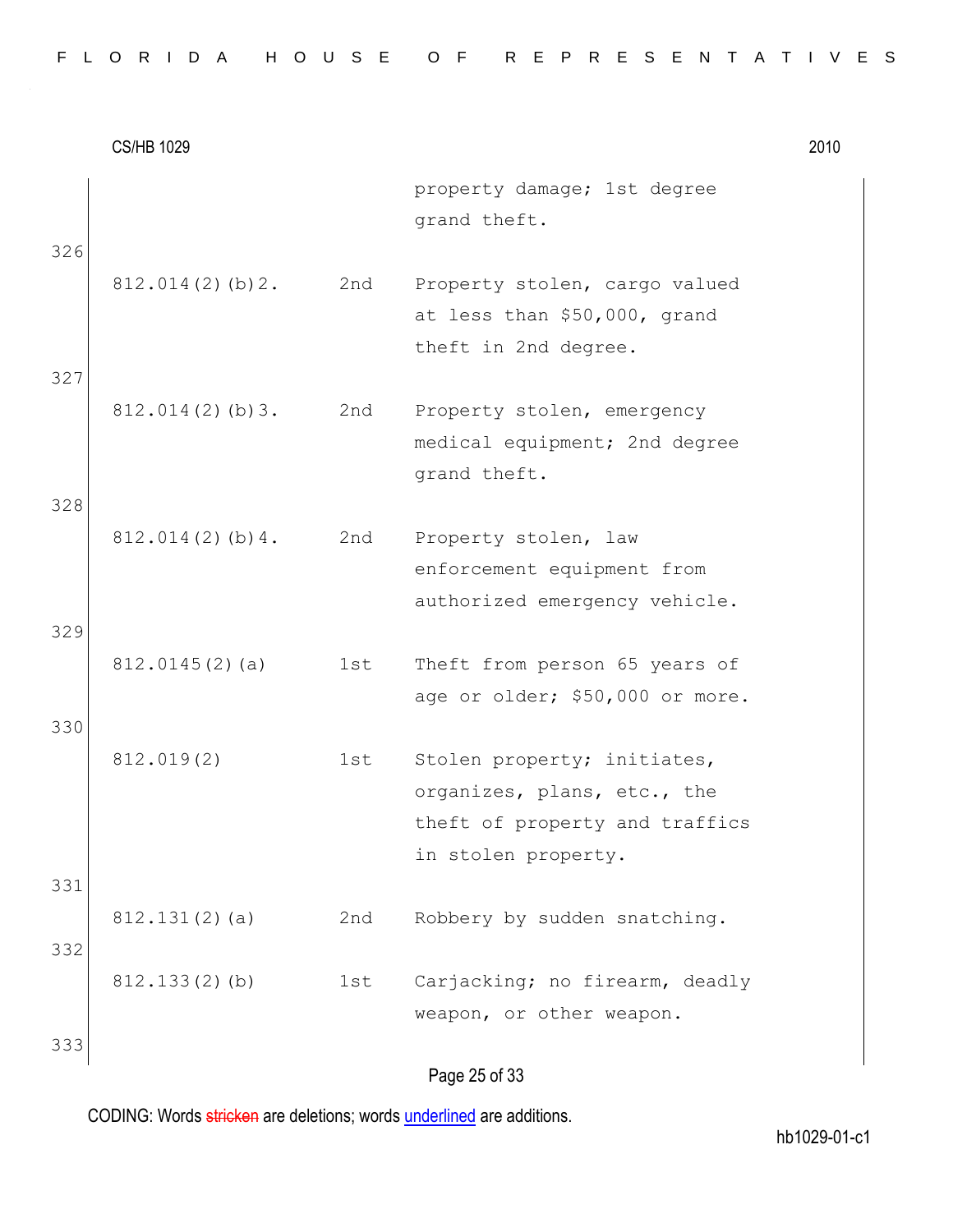|  |  |  | FLORIDA HOUSE OF REPRESENTATIVES |  |  |  |  |  |  |  |  |  |  |  |  |
|--|--|--|----------------------------------|--|--|--|--|--|--|--|--|--|--|--|--|
|  |  |  |                                  |  |  |  |  |  |  |  |  |  |  |  |  |

|     | <b>CS/HB 1029</b> |     |                                                                                                                     | 2010 |
|-----|-------------------|-----|---------------------------------------------------------------------------------------------------------------------|------|
| 326 |                   |     | property damage; 1st degree<br>grand theft.                                                                         |      |
|     | 812.014(2)(b)2.   | 2nd | Property stolen, cargo valued<br>at less than \$50,000, grand<br>theft in 2nd degree.                               |      |
| 327 | 812.014(2)(b)3.   | 2nd | Property stolen, emergency<br>medical equipment; 2nd degree<br>grand theft.                                         |      |
| 328 | 812.014(2)(b)4.   | 2nd | Property stolen, law<br>enforcement equipment from<br>authorized emergency vehicle.                                 |      |
| 329 | 812.0145(2)(a)    | 1st | Theft from person 65 years of<br>age or older; \$50,000 or more.                                                    |      |
| 330 | 812.019(2)        | 1st | Stolen property; initiates,<br>organizes, plans, etc., the<br>theft of property and traffics<br>in stolen property. |      |
| 331 | 812.131(2)(a)     | 2nd | Robbery by sudden snatching.                                                                                        |      |
| 332 | $812.133(2)$ (b)  | 1st | Carjacking; no firearm, deadly<br>weapon, or other weapon.                                                          |      |
| 333 |                   |     | Page 25 of 33                                                                                                       |      |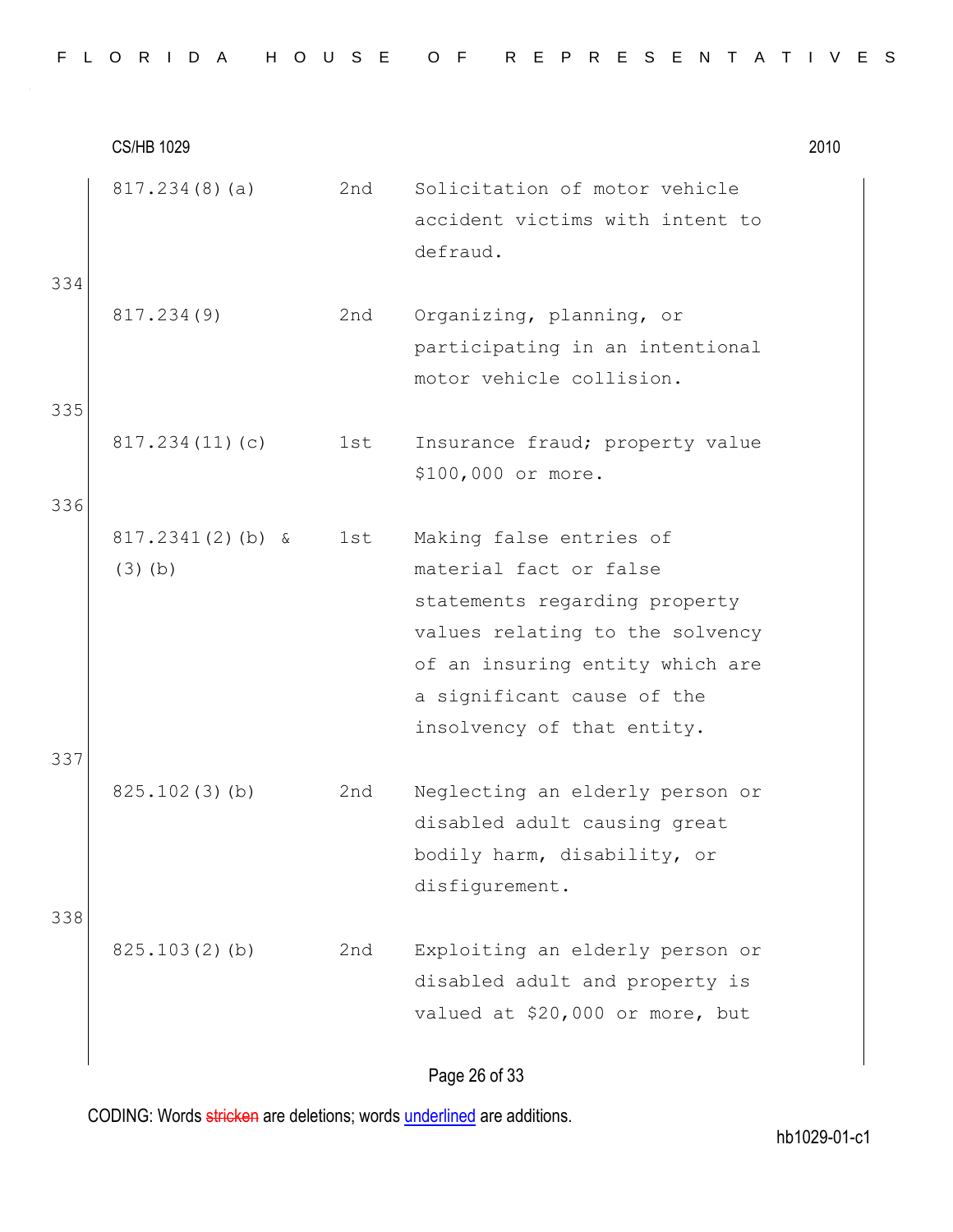|  |  |  |  |  | FLORIDA HOUSE OF REPRESENTATIVES |  |  |  |  |  |  |  |  |
|--|--|--|--|--|----------------------------------|--|--|--|--|--|--|--|--|
|  |  |  |  |  |                                  |  |  |  |  |  |  |  |  |

CS/HB 1029 2010 817.234(8)(a) 2nd Solicitation of motor vehicle accident victims with intent to defraud. 334 817.234(9) 2nd Organizing, planning, or participating in an intentional motor vehicle collision. 335 817.234(11)(c) 1st Insurance fraud; property value \$100,000 or more. 336 817.2341(2)(b) & (3)(b) 1st Making false entries of material fact or false statements regarding property values relating to the solvency of an insuring entity which are a significant cause of the insolvency of that entity. 337 825.102(3)(b) 2nd Neglecting an elderly person or disabled adult causing great bodily harm, disability, or disfigurement. 338 825.103(2)(b) 2nd Exploiting an elderly person or disabled adult and property is valued at \$20,000 or more, but

Page 26 of 33

CODING: Words stricken are deletions; words underlined are additions.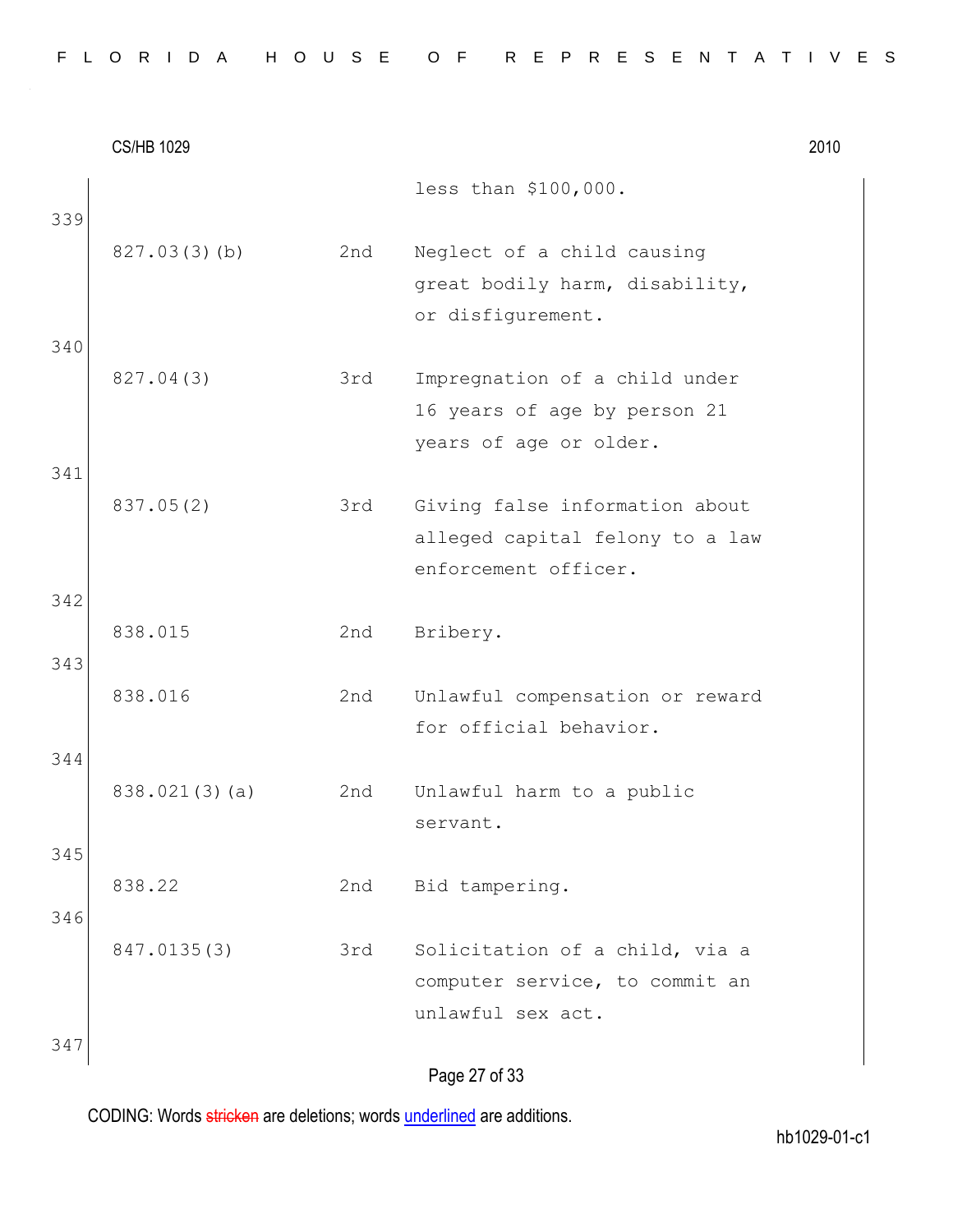|  |  |  | FLORIDA HOUSE OF REPRESENTATIVES |  |  |  |  |  |  |  |  |  |  |  |  |
|--|--|--|----------------------------------|--|--|--|--|--|--|--|--|--|--|--|--|
|  |  |  |                                  |  |  |  |  |  |  |  |  |  |  |  |  |

|     | <b>CS/HB 1029</b> |     |                                                                                           | 2010 |
|-----|-------------------|-----|-------------------------------------------------------------------------------------------|------|
|     |                   |     | less than \$100,000.                                                                      |      |
| 339 | 827.03(3)(b)      | 2nd | Neglect of a child causing<br>great bodily harm, disability,<br>or disfigurement.         |      |
| 340 | 827.04(3)         | 3rd | Impregnation of a child under<br>16 years of age by person 21<br>years of age or older.   |      |
| 341 |                   |     |                                                                                           |      |
|     | 837.05(2)         | 3rd | Giving false information about<br>alleged capital felony to a law<br>enforcement officer. |      |
| 342 |                   |     |                                                                                           |      |
| 343 | 838.015           | 2nd | Bribery.                                                                                  |      |
|     | 838.016           | 2nd | Unlawful compensation or reward<br>for official behavior.                                 |      |
| 344 |                   |     |                                                                                           |      |
|     | 838.021(3)(a)     | 2nd | Unlawful harm to a public<br>servant.                                                     |      |
| 345 |                   |     |                                                                                           |      |
| 346 | 838.22            | 2nd | Bid tampering.                                                                            |      |
|     | 847.0135(3)       | 3rd | Solicitation of a child, via a<br>computer service, to commit an<br>unlawful sex act.     |      |
| 347 |                   |     |                                                                                           |      |
|     |                   |     | Page 27 of 33                                                                             |      |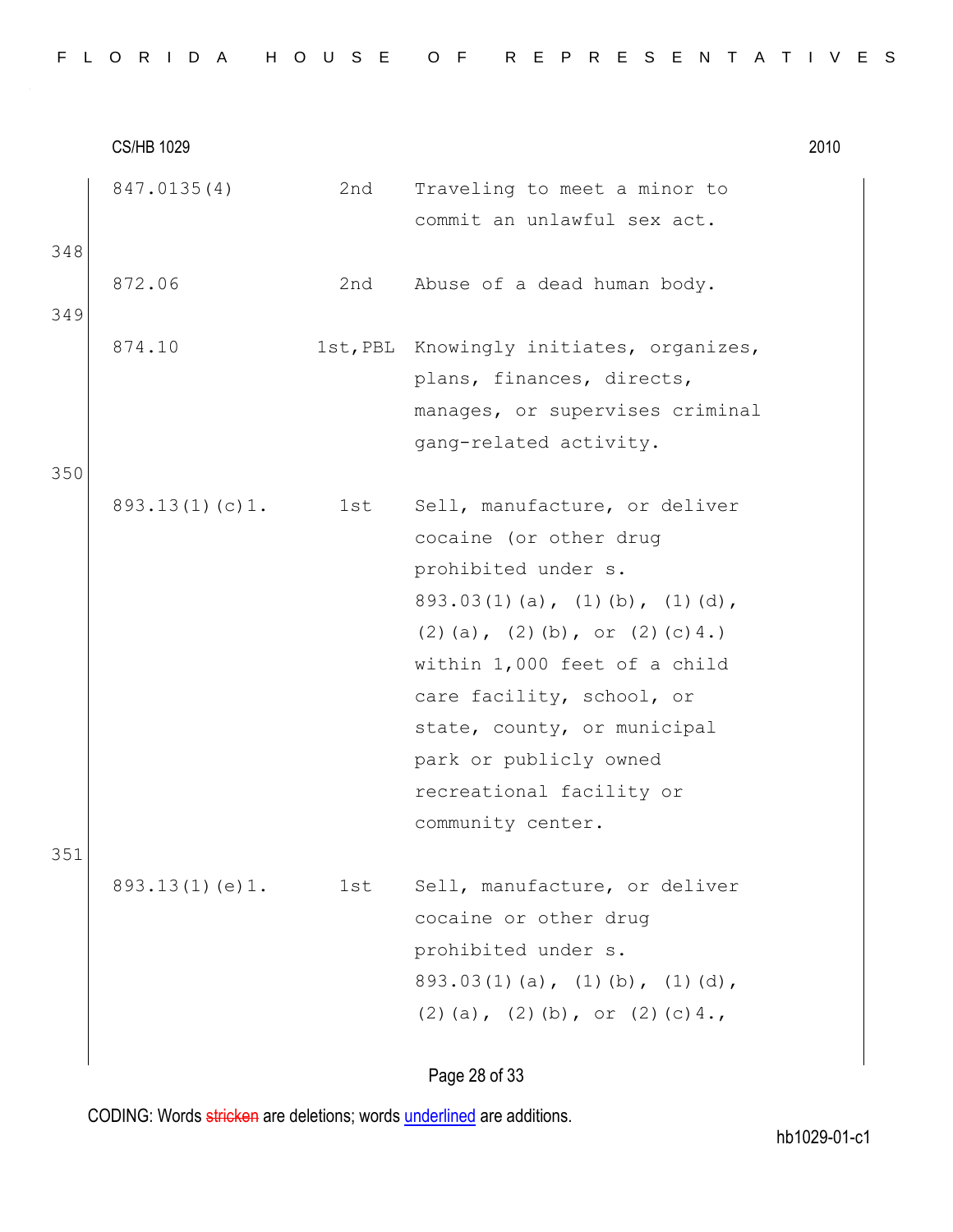|  |  |  | FLORIDA HOUSE OF REPRESENTATIVES |  |  |  |  |  |  |  |  |  |  |  |  |
|--|--|--|----------------------------------|--|--|--|--|--|--|--|--|--|--|--|--|
|  |  |  |                                  |  |  |  |  |  |  |  |  |  |  |  |  |

|     | <b>CS/HB 1029</b> |       |                                                             | 2010 |
|-----|-------------------|-------|-------------------------------------------------------------|------|
|     | 847.0135(4)       | 2nd   | Traveling to meet a minor to<br>commit an unlawful sex act. |      |
| 348 |                   |       |                                                             |      |
|     | 872.06            | 2nd   | Abuse of a dead human body.                                 |      |
| 349 |                   |       |                                                             |      |
|     | 874.10            |       | 1st, PBL Knowingly initiates, organizes,                    |      |
|     |                   |       | plans, finances, directs,                                   |      |
|     |                   |       | manages, or supervises criminal                             |      |
|     |                   |       | gang-related activity.                                      |      |
| 350 |                   |       |                                                             |      |
|     | 893.13(1)(c)1.    | 1st i | Sell, manufacture, or deliver                               |      |
|     |                   |       | cocaine (or other drug                                      |      |
|     |                   |       | prohibited under s.                                         |      |
|     |                   |       | $893.03(1)(a)$ , $(1)(b)$ , $(1)(d)$ ,                      |      |
|     |                   |       | $(2)$ (a), $(2)$ (b), or $(2)$ (c) 4.)                      |      |
|     |                   |       | within 1,000 feet of a child                                |      |
|     |                   |       | care facility, school, or<br>state, county, or municipal    |      |
|     |                   |       | park or publicly owned                                      |      |
|     |                   |       | recreational facility or                                    |      |
|     |                   |       | community center.                                           |      |
| 351 |                   |       |                                                             |      |
|     | 893.13(1)(e)1.    | 1st   | Sell, manufacture, or deliver                               |      |
|     |                   |       | cocaine or other drug                                       |      |
|     |                   |       | prohibited under s.                                         |      |
|     |                   |       | $893.03(1)(a)$ , $(1)(b)$ , $(1)(d)$ ,                      |      |
|     |                   |       | $(2)$ (a), $(2)$ (b), or $(2)$ (c) 4.,                      |      |
|     |                   |       |                                                             |      |
|     |                   |       | Page 28 of 33                                               |      |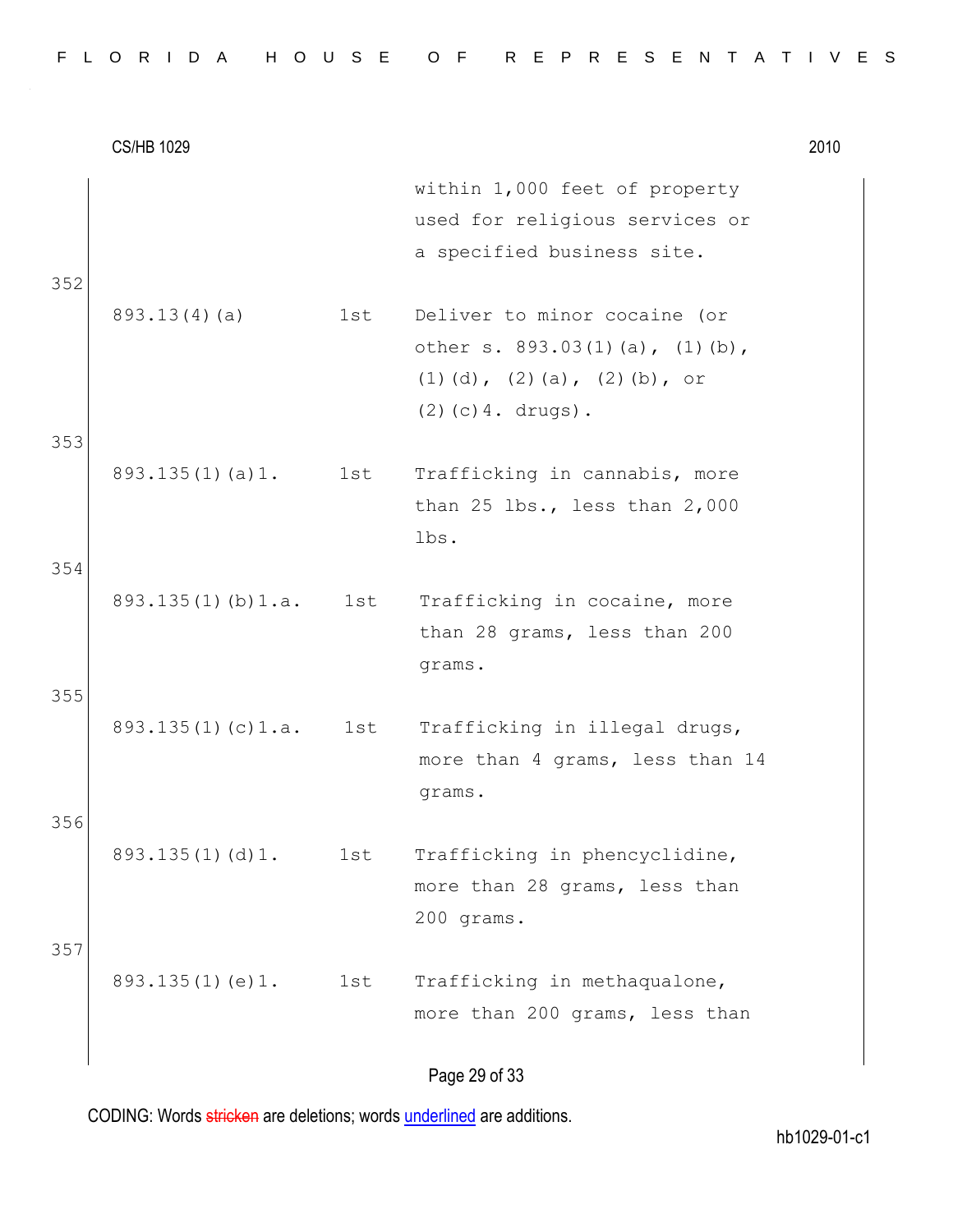|     | <b>CS/HB 1029</b>       |     |                                                                                                                                              | 2010 |
|-----|-------------------------|-----|----------------------------------------------------------------------------------------------------------------------------------------------|------|
| 352 |                         |     | within 1,000 feet of property<br>used for religious services or<br>a specified business site.                                                |      |
| 353 | 893.13(4)(a)            | 1st | Deliver to minor cocaine (or<br>other s. $893.03(1)(a)$ , $(1)(b)$ ,<br>$(1)$ $(d)$ , $(2)$ $(a)$ , $(2)$ $(b)$ , or<br>$(2)$ (c) 4. drugs). |      |
| 354 | 893.135(1)(a)1.         | 1st | Trafficking in cannabis, more<br>than 25 lbs., less than 2,000<br>lbs.                                                                       |      |
| 355 | $893.135(1)$ (b) $1.a.$ | 1st | Trafficking in cocaine, more<br>than 28 grams, less than 200<br>grams.                                                                       |      |
| 356 | 893.135(1)(c)1.a.       | 1st | Trafficking in illegal drugs,<br>more than 4 grams, less than 14<br>grams.                                                                   |      |
| 357 | 893.135(1)(d)1.         | 1st | Trafficking in phencyclidine,<br>more than 28 grams, less than<br>200 grams.                                                                 |      |
|     | 893.135(1)(e)1.         | 1st | Trafficking in methaqualone,<br>more than 200 grams, less than                                                                               |      |
|     |                         |     |                                                                                                                                              |      |

### Page 29 of 33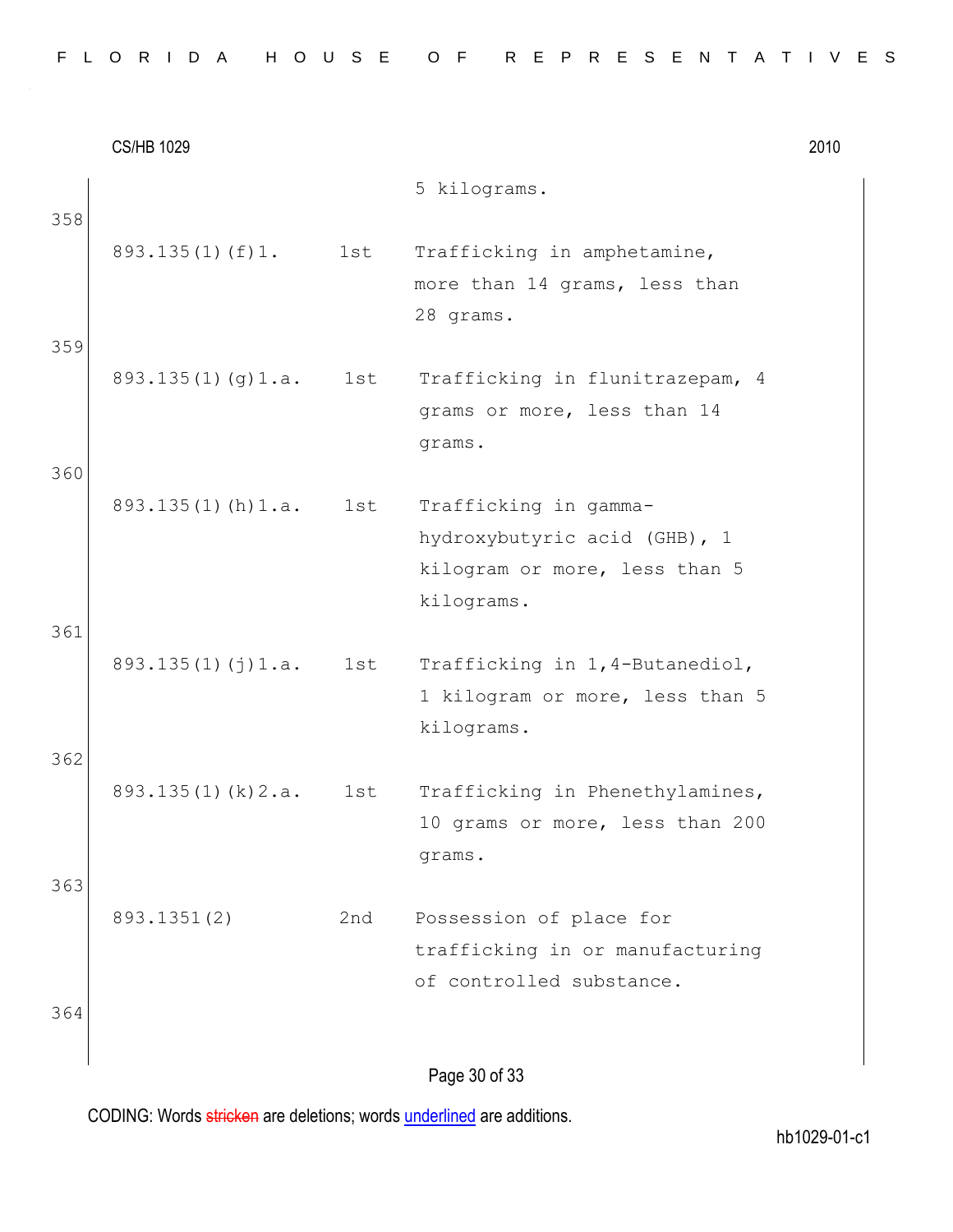|  |  |  |  |  |  | FLORIDA HOUSE OF REPRESENTATIVES |  |  |  |  |  |  |  |  |
|--|--|--|--|--|--|----------------------------------|--|--|--|--|--|--|--|--|
|  |  |  |  |  |  |                                  |  |  |  |  |  |  |  |  |

|     | <b>CS/HB 1029</b>       |     |                                                                                                      | 2010 |
|-----|-------------------------|-----|------------------------------------------------------------------------------------------------------|------|
| 358 |                         |     | 5 kilograms.                                                                                         |      |
|     | $893.135(1)$ (f) 1.     | 1st | Trafficking in amphetamine,<br>more than 14 grams, less than<br>28 grams.                            |      |
| 359 | 893.135(1)(g)1.a.       | 1st | Trafficking in flunitrazepam, 4<br>grams or more, less than 14<br>grams.                             |      |
| 360 |                         |     |                                                                                                      |      |
|     | $893.135(1)$ (h) $1.a.$ | 1st | Trafficking in gamma-<br>hydroxybutyric acid (GHB), 1<br>kilogram or more, less than 5<br>kilograms. |      |
| 361 |                         |     |                                                                                                      |      |
|     | 893.135(1)(j)1.a.       | 1st | Trafficking in 1, 4-Butanediol,<br>1 kilogram or more, less than 5<br>kilograms.                     |      |
| 362 |                         |     |                                                                                                      |      |
|     | 893.135(1)(k)2.a.       | 1st | Trafficking in Phenethylamines,<br>10 grams or more, less than 200<br>grams.                         |      |
| 363 |                         |     |                                                                                                      |      |
| 364 | 893.1351(2)             | 2nd | Possession of place for<br>trafficking in or manufacturing<br>of controlled substance.               |      |
|     |                         |     | Page 30 of 33                                                                                        |      |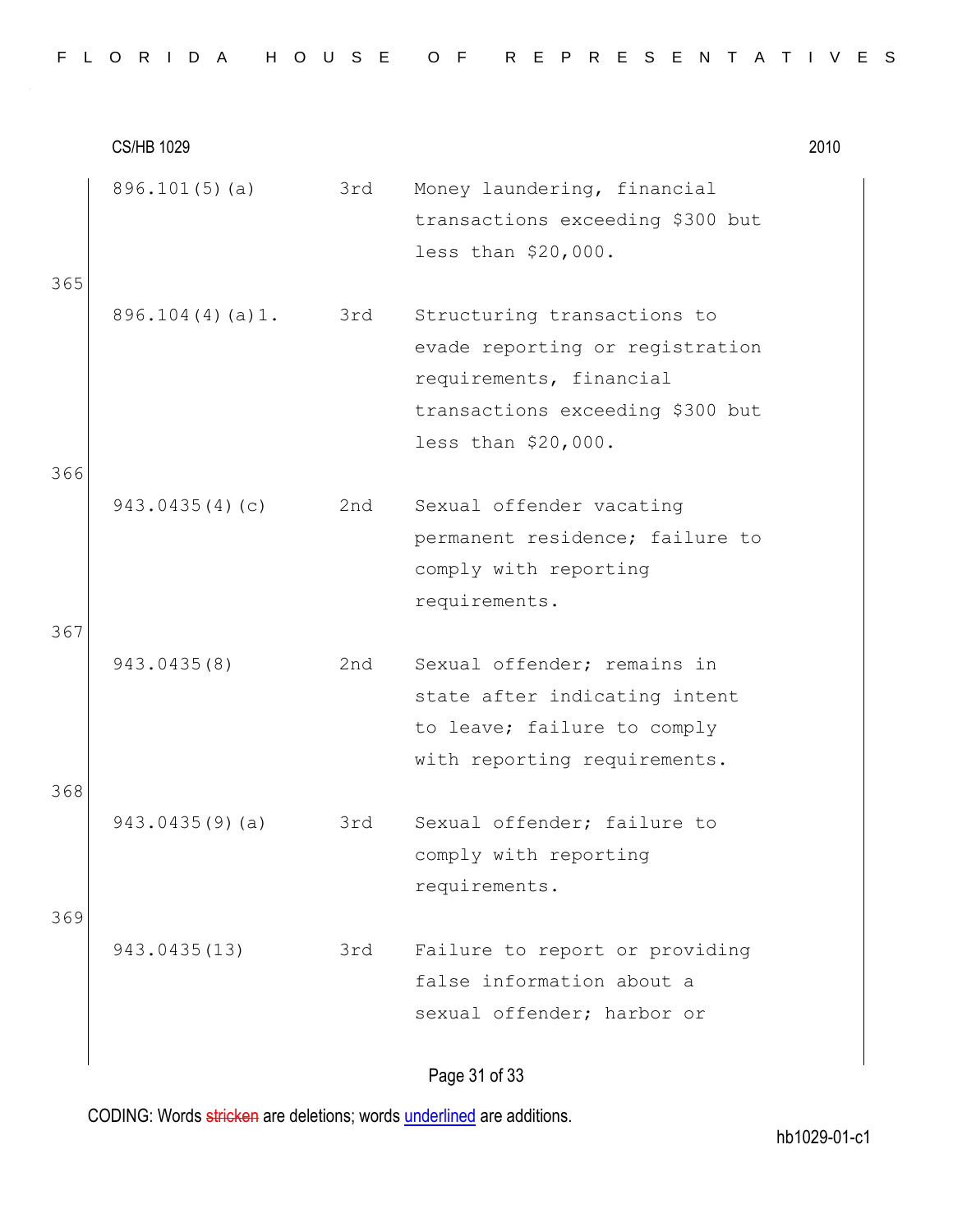|  |  |  |  |  | FLORIDA HOUSE OF REPRESENTATIVES |  |  |  |  |  |  |  |  |
|--|--|--|--|--|----------------------------------|--|--|--|--|--|--|--|--|
|  |  |  |  |  |                                  |  |  |  |  |  |  |  |  |

CS/HB 1029 2010 896.101(5)(a) 3rd Money laundering, financial transactions exceeding \$300 but less than \$20,000. 365 896.104(4)(a)1. 3rd Structuring transactions to evade reporting or registration requirements, financial transactions exceeding \$300 but less than \$20,000. 366 943.0435(4)(c) 2nd Sexual offender vacating permanent residence; failure to comply with reporting requirements. 367 943.0435(8) 2nd Sexual offender; remains in state after indicating intent to leave; failure to comply with reporting requirements. 368 943.0435(9)(a) 3rd Sexual offender; failure to comply with reporting requirements. 369 943.0435(13) 3rd Failure to report or providing false information about a sexual offender; harbor or

Page 31 of 33

CODING: Words stricken are deletions; words underlined are additions.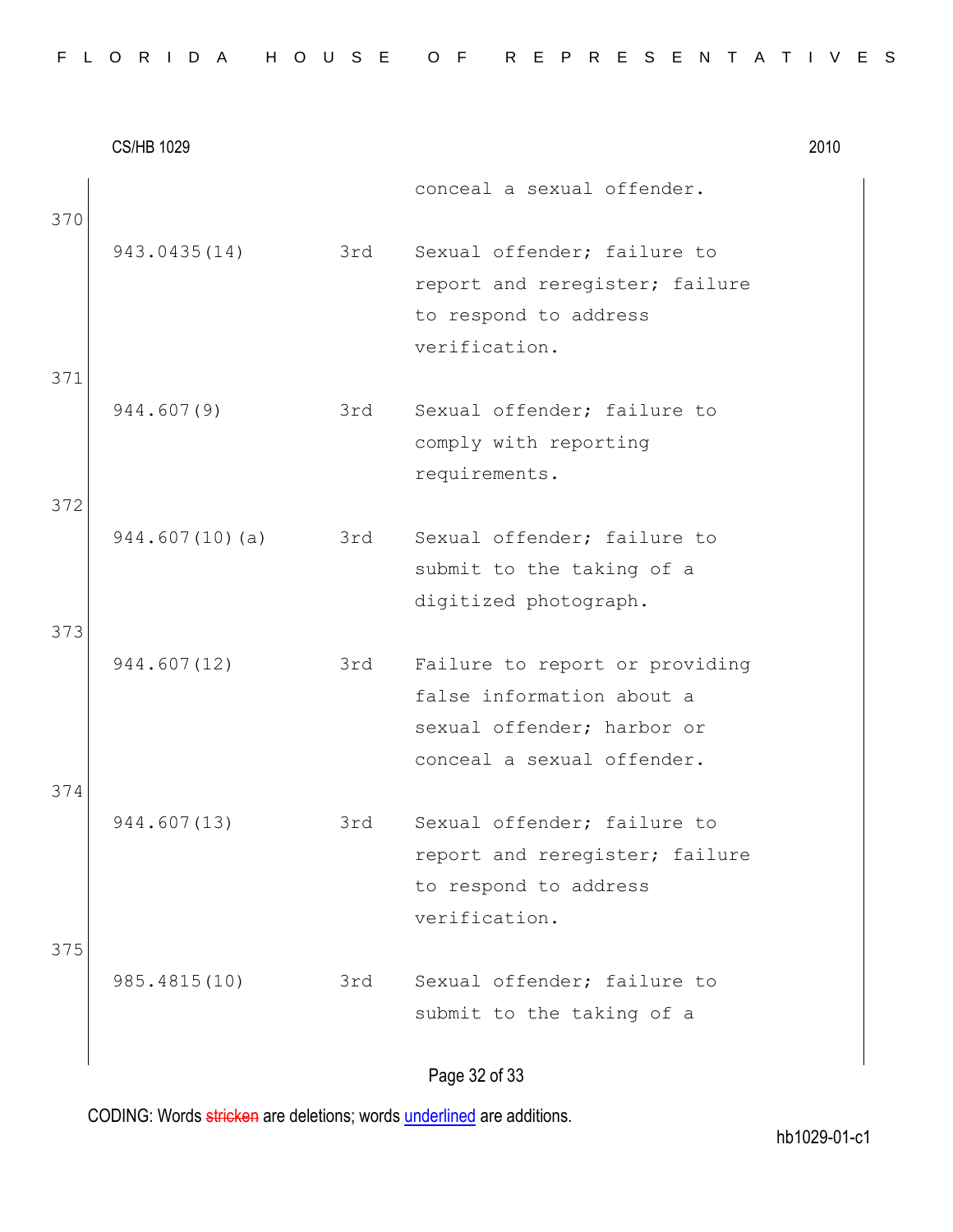|  |  |  |  |  |  | FLORIDA HOUSE OF REPRESENTATIVES |  |  |  |  |  |  |  |  |
|--|--|--|--|--|--|----------------------------------|--|--|--|--|--|--|--|--|
|  |  |  |  |  |  |                                  |  |  |  |  |  |  |  |  |

|     | <b>CS/HB 1029</b> |     |                                | 2010 |
|-----|-------------------|-----|--------------------------------|------|
| 370 |                   |     | conceal a sexual offender.     |      |
|     | 943.0435(14)      | 3rd | Sexual offender; failure to    |      |
|     |                   |     | report and reregister; failure |      |
|     |                   |     | to respond to address          |      |
|     |                   |     | verification.                  |      |
| 371 |                   |     |                                |      |
|     | 944.607(9)        | 3rd | Sexual offender; failure to    |      |
|     |                   |     | comply with reporting          |      |
|     |                   |     | requirements.                  |      |
| 372 |                   |     |                                |      |
|     | 944.607(10)(a)    | 3rd | Sexual offender; failure to    |      |
|     |                   |     | submit to the taking of a      |      |
|     |                   |     | digitized photograph.          |      |
| 373 |                   |     |                                |      |
|     | 944.607(12)       | 3rd | Failure to report or providing |      |
|     |                   |     | false information about a      |      |
|     |                   |     | sexual offender; harbor or     |      |
|     |                   |     | conceal a sexual offender.     |      |
| 374 |                   |     |                                |      |
|     | 944.607(13)       | 3rd | Sexual offender; failure to    |      |
|     |                   |     | report and reregister; failure |      |
|     |                   |     | to respond to address          |      |
|     |                   |     | verification.                  |      |
| 375 |                   |     | Sexual offender; failure to    |      |
|     | 985.4815(10)      | 3rd |                                |      |
|     |                   |     | submit to the taking of a      |      |
|     |                   |     | Dao 22.632                     |      |

Page 32 of 33